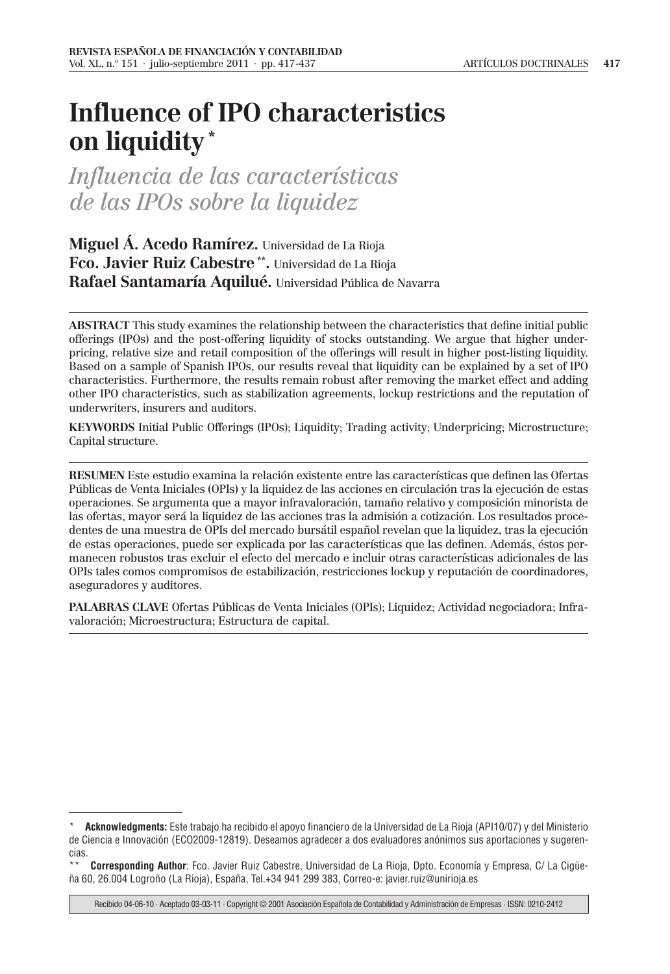# **Influence of IPO characteristics on liquidity \***

*Infl uencia de las características de las IPOs sobre la liquidez*

**Miguel Á. Acedo Ramírez.** Universidad de La Rioja **Fco. Javier Ruiz Cabestre \*\*.** Universidad de La Rioja **Rafael Santamaría Aquilué.** Universidad Pública de Navarra

**ABSTRACT** This study examines the relationship between the characteristics that define initial public offerings (IPOs) and the post-offering liquidity of stocks outstanding. We argue that higher underpricing, relative size and retail composition of the offerings will result in higher post-listing liquidity. Based on a sample of Spanish IPOs, our results reveal that liquidity can be explained by a set of IPO characteristics. Furthermore, the results remain robust after removing the market effect and adding other IPO characteristics, such as stabilization agreements, lockup restrictions and the reputation of underwriters, insurers and auditors.

**KEYWORDS** Initial Public Offerings (IPOs); Liquidity; Trading activity; Underpricing; Microstructure; Capital structure.

RESUMEN Este estudio examina la relación existente entre las características que definen las Ofertas Públicas de Venta Iniciales (OPIs) y la liquidez de las acciones en circulación tras la ejecución de estas operaciones. Se argumenta que a mayor infravaloración, tamaño relativo y composición minorista de las ofertas, mayor será la liquidez de las acciones tras la admisión a cotización. Los resultados procedentes de una muestra de OPIs del mercado bursátil español revelan que la liquidez, tras la ejecución de estas operaciones, puede ser explicada por las características que las definen. Además, éstos permanecen robustos tras excluir el efecto del mercado e incluir otras características adicionales de las OPIs tales comos compromisos de estabilización, restricciones lockup y reputación de coordinadores, aseguradores y auditores.

**PALABRAS CLAVE** Ofertas Públicas de Venta Iniciales (OPIs); Liquidez; Actividad negociadora; Infravaloración; Microestructura; Estructura de capital.

Acknowledgments: Este trabajo ha recibido el apoyo financiero de la Universidad de La Rioja (API10/07) y del Ministerio de Ciencia e Innovación (ECO2009-12819). Deseamos agradecer a dos evaluadores anónimos sus aportaciones y sugerencias.

<sup>\*\*</sup> **Corresponding Author**: Fco. Javier Ruiz Cabestre, Universidad de La Rioja, Dpto. Economía y Empresa, C/ La Cigüeña 60, 26.004 Logroño (La Rioja), España, Tel.+34 941 299 383, Correo-e: javier.ruiz@unirioja.es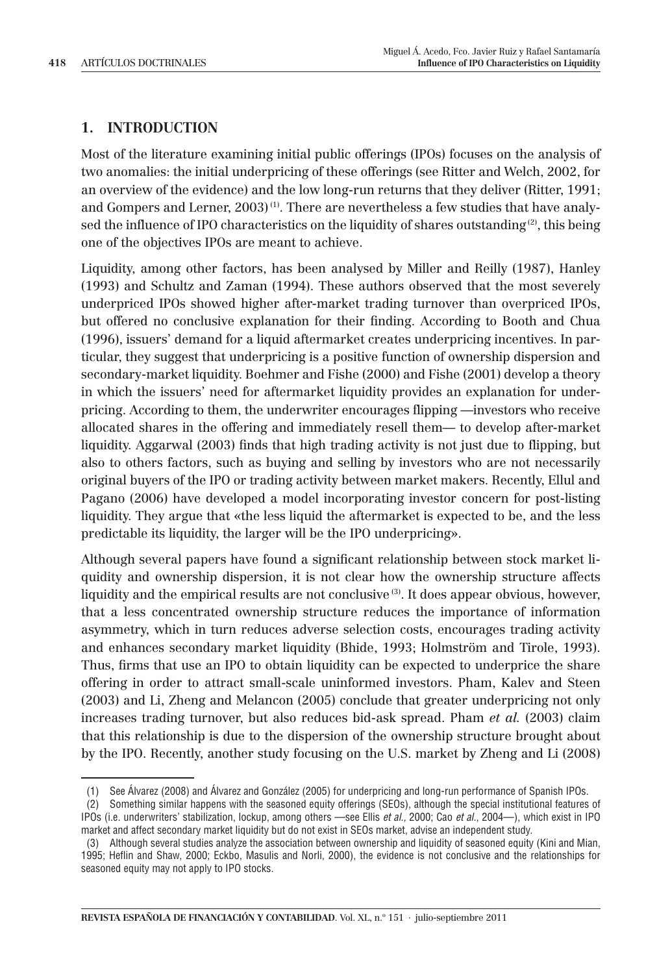## **1. INTRODUCTION**

Most of the literature examining initial public offerings (IPOs) focuses on the analysis of two anomalies: the initial underpricing of these offerings (see Ritter and Welch, 2002, for an overview of the evidence) and the low long-run returns that they deliver (Ritter, 1991; and Gompers and Lerner,  $2003$ <sup>(1)</sup>. There are nevertheless a few studies that have analysed the influence of IPO characteristics on the liquidity of shares outstanding  $(2)$ , this being one of the objectives IPOs are meant to achieve.

Liquidity, among other factors, has been analysed by Miller and Reilly (1987), Hanley (1993) and Schultz and Zaman (1994). These authors observed that the most severely underpriced IPOs showed higher after-market trading turnover than overpriced IPOs, but offered no conclusive explanation for their finding. According to Booth and Chua (1996), issuers' demand for a liquid aftermarket creates underpricing incentives. In particular, they suggest that underpricing is a positive function of ownership dispersion and secondary-market liquidity. Boehmer and Fishe (2000) and Fishe (2001) develop a theory in which the issuers' need for aftermarket liquidity provides an explanation for underpricing. According to them, the underwriter encourages flipping —investors who receive allocated shares in the offering and immediately resell them— to develop after-market liquidity. Aggarwal (2003) finds that high trading activity is not just due to flipping, but also to others factors, such as buying and selling by investors who are not necessarily original buyers of the IPO or trading activity between market makers. Recently, Ellul and Pagano (2006) have developed a model incorporating investor concern for post-listing liquidity. They argue that «the less liquid the aftermarket is expected to be, and the less predictable its liquidity, the larger will be the IPO underpricing».

Although several papers have found a significant relationship between stock market liquidity and ownership dispersion, it is not clear how the ownership structure affects liquidity and the empirical results are not conclusive <sup>(3)</sup>. It does appear obvious, however, that a less concentrated ownership structure reduces the importance of information asymmetry, which in turn reduces adverse selection costs, encourages trading activity and enhances secondary market liquidity (Bhide, 1993; Holmström and Tirole, 1993). Thus, firms that use an IPO to obtain liquidity can be expected to underprice the share offering in order to attract small-scale uninformed investors. Pham, Kalev and Steen (2003) and Li, Zheng and Melancon (2005) conclude that greater underpricing not only increases trading turnover, but also reduces bid-ask spread. Pham *et al.* (2003) claim that this relationship is due to the dispersion of the ownership structure brought about by the IPO. Recently, another study focusing on the U.S. market by Zheng and Li (2008)

**REVISTA ESPAÑOLA DE FINANCIACIÓN Y CONTABILIDAD**. Vol. XL, n.º 151 · julio-septiembre 2011

 <sup>(1)</sup> See Álvarez (2008) and Álvarez and González (2005) for underpricing and long-run performance of Spanish IPOs.

 <sup>(2)</sup> Something similar happens with the seasoned equity offerings (SEOs), although the special institutional features of IPOs (i.e. underwriters' stabilization, lockup, among others —see Ellis et al., 2000; Cao et al., 2004—), which exist in IPO market and affect secondary market liquidity but do not exist in SEOs market, advise an independent study.

 <sup>(3)</sup> Although several studies analyze the association between ownership and liquidity of seasoned equity (Kini and Mian, 1995; Heflin and Shaw, 2000; Eckbo, Masulis and Norli, 2000), the evidence is not conclusive and the relationships for seasoned equity may not apply to IPO stocks.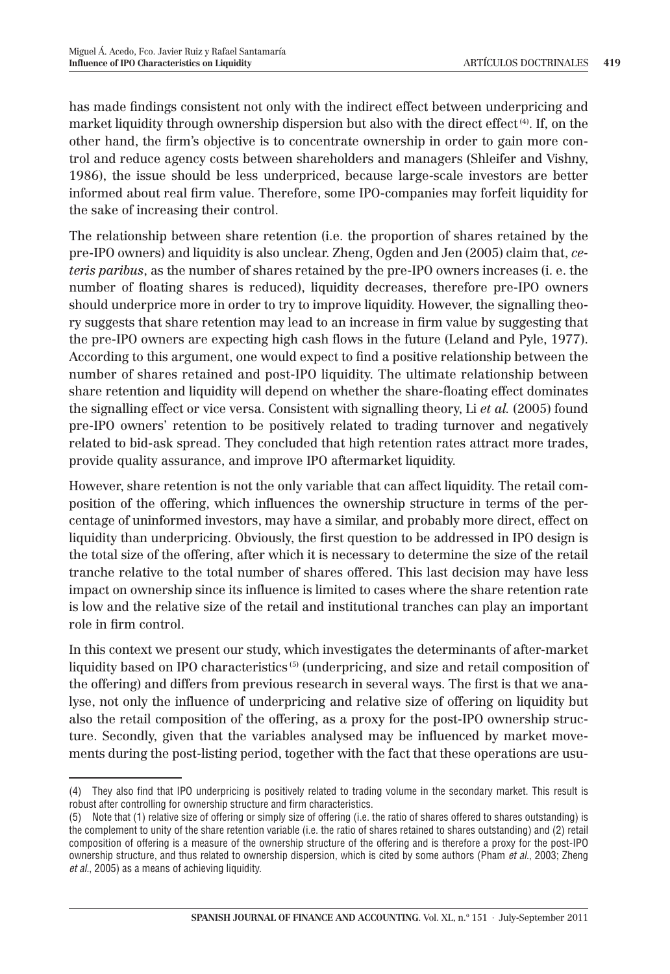has made findings consistent not only with the indirect effect between underpricing and market liquidity through ownership dispersion but also with the direct effect (4). If, on the other hand, the firm's objective is to concentrate ownership in order to gain more control and reduce agency costs between shareholders and managers (Shleifer and Vishny, 1986), the issue should be less underpriced, because large-scale investors are better informed about real firm value. Therefore, some IPO-companies may forfeit liquidity for the sake of increasing their control.

The relationship between share retention (i.e. the proportion of shares retained by the pre-IPO owners) and liquidity is also unclear. Zheng, Ogden and Jen (2005) claim that, *ceteris paribus*, as the number of shares retained by the pre-IPO owners increases (i. e. the number of floating shares is reduced), liquidity decreases, therefore pre-IPO owners should underprice more in order to try to improve liquidity. However, the signalling theory suggests that share retention may lead to an increase in firm value by suggesting that the pre-IPO owners are expecting high cash flows in the future (Leland and Pyle, 1977). According to this argument, one would expect to find a positive relationship between the number of shares retained and post-IPO liquidity. The ultimate relationship between share retention and liquidity will depend on whether the share-floating effect dominates the signalling effect or vice versa. Consistent with signalling theory, Li *et al.* (2005) found pre-IPO owners' retention to be positively related to trading turnover and negatively related to bid-ask spread. They concluded that high retention rates attract more trades, provide quality assurance, and improve IPO aftermarket liquidity.

However, share retention is not the only variable that can affect liquidity. The retail composition of the offering, which influences the ownership structure in terms of the percentage of uninformed investors, may have a similar, and probably more direct, effect on liquidity than underpricing. Obviously, the first question to be addressed in IPO design is the total size of the offering, after which it is necessary to determine the size of the retail tranche relative to the total number of shares offered. This last decision may have less impact on ownership since its influence is limited to cases where the share retention rate is low and the relative size of the retail and institutional tranches can play an important role in firm control

In this context we present our study, which investigates the determinants of after-market liquidity based on IPO characteristics<sup>(5)</sup> (underpricing, and size and retail composition of the offering) and differs from previous research in several ways. The first is that we analyse, not only the influence of underpricing and relative size of offering on liquidity but also the retail composition of the offering, as a proxy for the post-IPO ownership structure. Secondly, given that the variables analysed may be influenced by market movements during the post-listing period, together with the fact that these operations are usu-

<sup>(4)</sup> They also find that IPO underpricing is positively related to trading volume in the secondary market. This result is robust after controlling for ownership structure and firm characteristics.

<sup>(5)</sup> Note that (1) relative size of offering or simply size of offering (i.e. the ratio of shares offered to shares outstanding) is the complement to unity of the share retention variable (i.e. the ratio of shares retained to shares outstanding) and (2) retail composition of offering is a measure of the ownership structure of the offering and is therefore a proxy for the post-IPO ownership structure, and thus related to ownership dispersion, which is cited by some authors (Pham et al., 2003; Zheng et al., 2005) as a means of achieving liquidity.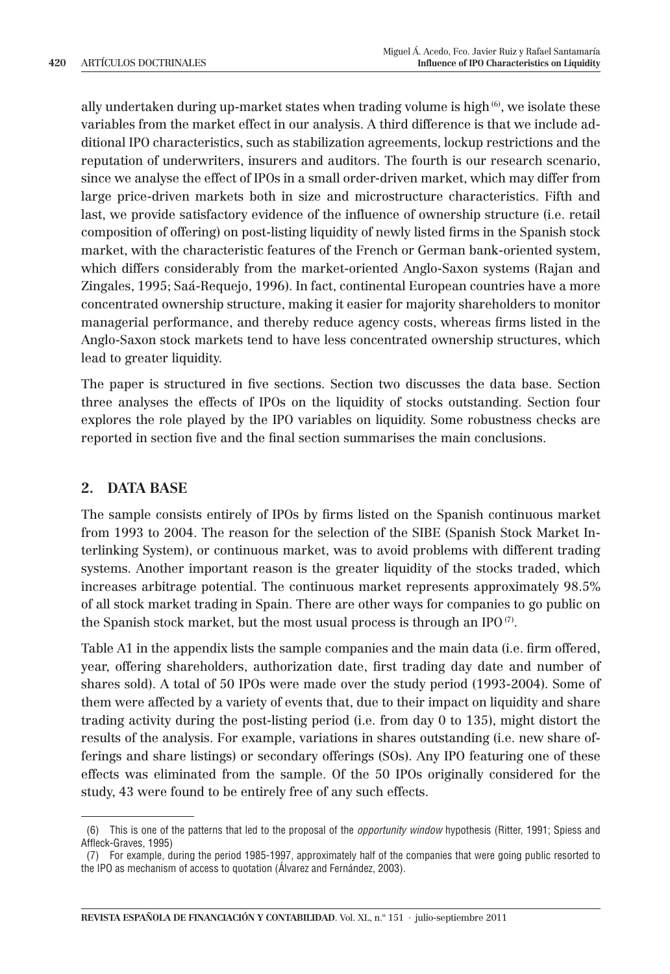ally undertaken during up-market states when trading volume is high $^{(6)}$ , we isolate these variables from the market effect in our analysis. A third difference is that we include additional IPO characteristics, such as stabilization agreements, lockup restrictions and the reputation of underwriters, insurers and auditors. The fourth is our research scenario, since we analyse the effect of IPOs in a small order-driven market, which may differ from large price-driven markets both in size and microstructure characteristics. Fifth and last, we provide satisfactory evidence of the influence of ownership structure (i.e. retail composition of offering) on post-listing liquidity of newly listed firms in the Spanish stock market, with the characteristic features of the French or German bank-oriented system, which differs considerably from the market-oriented Anglo-Saxon systems (Rajan and Zingales, 1995; Saá-Requejo, 1996). In fact, continental European countries have a more concentrated ownership structure, making it easier for majority shareholders to monitor managerial performance, and thereby reduce agency costs, whereas firms listed in the Anglo-Saxon stock markets tend to have less concentrated ownership structures, which lead to greater liquidity.

The paper is structured in five sections. Section two discusses the data base. Section three analyses the effects of IPOs on the liquidity of stocks outstanding. Section four explores the role played by the IPO variables on liquidity. Some robustness checks are reported in section five and the final section summarises the main conclusions.

## **2. DATA BASE**

The sample consists entirely of IPOs by firms listed on the Spanish continuous market from 1993 to 2004. The reason for the selection of the SIBE (Spanish Stock Market Interlinking System), or continuous market, was to avoid problems with different trading systems. Another important reason is the greater liquidity of the stocks traded, which increases arbitrage potential. The continuous market represents approximately 98.5% of all stock market trading in Spain. There are other ways for companies to go public on the Spanish stock market, but the most usual process is through an IPO $(7)$ .

Table A1 in the appendix lists the sample companies and the main data (i.e. firm offered, year, offering shareholders, authorization date, first trading day date and number of shares sold). A total of 50 IPOs were made over the study period (1993-2004). Some of them were affected by a variety of events that, due to their impact on liquidity and share trading activity during the post-listing period (i.e. from day 0 to 135), might distort the results of the analysis. For example, variations in shares outstanding (i.e. new share offerings and share listings) or secondary offerings (SOs). Any IPO featuring one of these effects was eliminated from the sample. Of the 50 IPOs originally considered for the study, 43 were found to be entirely free of any such effects.

<sup>(6)</sup> This is one of the patterns that led to the proposal of the *opportunity window* hypothesis (Ritter, 1991; Spiess and Affleck-Graves, 1995)

 <sup>(7)</sup> For example, during the period 1985-1997, approximately half of the companies that were going public resorted to the IPO as mechanism of access to quotation (Álvarez and Fernández, 2003).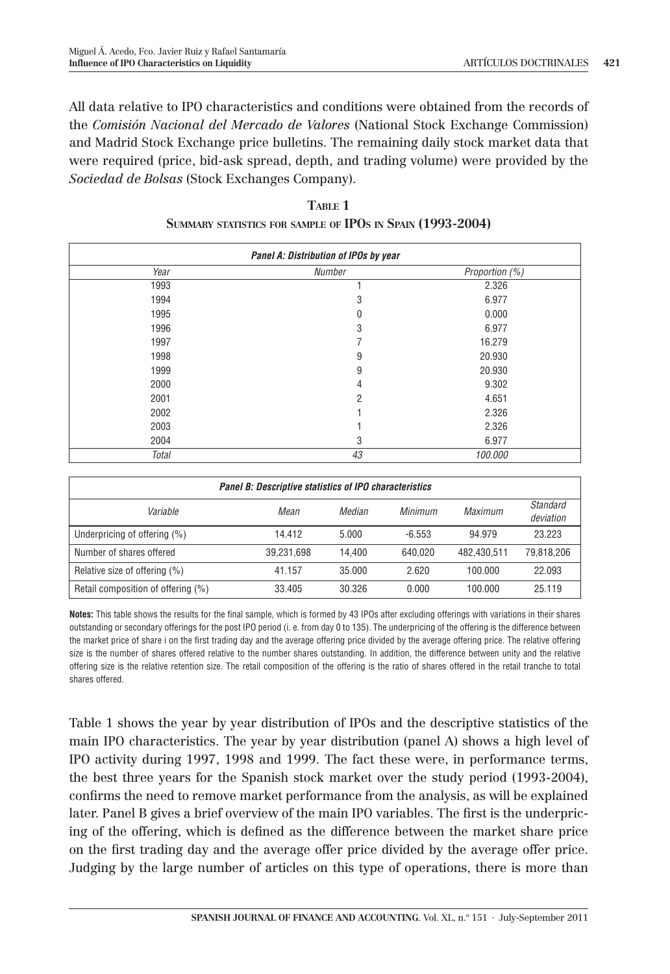All data relative to IPO characteristics and conditions were obtained from the records of the *Comisión Nacional del Mercado de Valores* (National Stock Exchange Commission) and Madrid Stock Exchange price bulletins. The remaining daily stock market data that were required (price, bid-ask spread, depth, and trading volume) were provided by the *Sociedad de Bolsas* (Stock Exchanges Company).

|              | Panel A: Distribution of IPOs by year |                |
|--------------|---------------------------------------|----------------|
| Year         | Number                                | Proportion (%) |
| 1993         |                                       | 2.326          |
| 1994         | 3                                     | 6.977          |
| 1995         | 0                                     | 0.000          |
| 1996         | 3                                     | 6.977          |
| 1997         | 7                                     | 16.279         |
| 1998         | 9                                     | 20.930         |
| 1999         | 9                                     | 20.930         |
| 2000         | 4                                     | 9.302          |
| 2001         | $\overline{2}$                        | 4.651          |
| 2002         |                                       | 2.326          |
| 2003         |                                       | 2.326          |
| 2004         | 3                                     | 6.977          |
| <b>Total</b> | 43                                    | 100.000        |

| TABLE 1                                                    |
|------------------------------------------------------------|
| SUMMARY STATISTICS FOR SAMPLE OF IPOS IN SPAIN (1993-2004) |

| <b>Panel B: Descriptive statistics of IPO characteristics</b> |            |        |          |                |                              |  |  |  |
|---------------------------------------------------------------|------------|--------|----------|----------------|------------------------------|--|--|--|
| Variable                                                      | Mean       | Median | Minimum  | <b>Maximum</b> | <b>Standard</b><br>deviation |  |  |  |
| Underpricing of offering (%)                                  | 14.412     | 5.000  | $-6.553$ | 94.979         | 23.223                       |  |  |  |
| Number of shares offered                                      | 39.231.698 | 14.400 | 640.020  | 482.430.511    | 79,818,206                   |  |  |  |
| Relative size of offering (%)                                 | 41.157     | 35.000 | 2.620    | 100.000        | 22.093                       |  |  |  |
| Retail composition of offering (%)                            | 33.405     | 30.326 | 0.000    | 100.000        | 25.119                       |  |  |  |

Notes: This table shows the results for the final sample, which is formed by 43 IPOs after excluding offerings with variations in their shares outstanding or secondary offerings for the post IPO period (i. e. from day 0 to 135). The underpricing of the offering is the difference between the market price of share i on the first trading day and the average offering price divided by the average offering price. The relative offering size is the number of shares offered relative to the number shares outstanding. In addition, the difference between unity and the relative offering size is the relative retention size. The retail composition of the offering is the ratio of shares offered in the retail tranche to total shares offered.

Table 1 shows the year by year distribution of IPOs and the descriptive statistics of the main IPO characteristics. The year by year distribution (panel A) shows a high level of IPO activity during 1997, 1998 and 1999. The fact these were, in performance terms, the best three years for the Spanish stock market over the study period (1993-2004), confirms the need to remove market performance from the analysis, as will be explained later. Panel B gives a brief overview of the main IPO variables. The first is the underpricing of the offering, which is defined as the difference between the market share price on the first trading day and the average offer price divided by the average offer price. Judging by the large number of articles on this type of operations, there is more than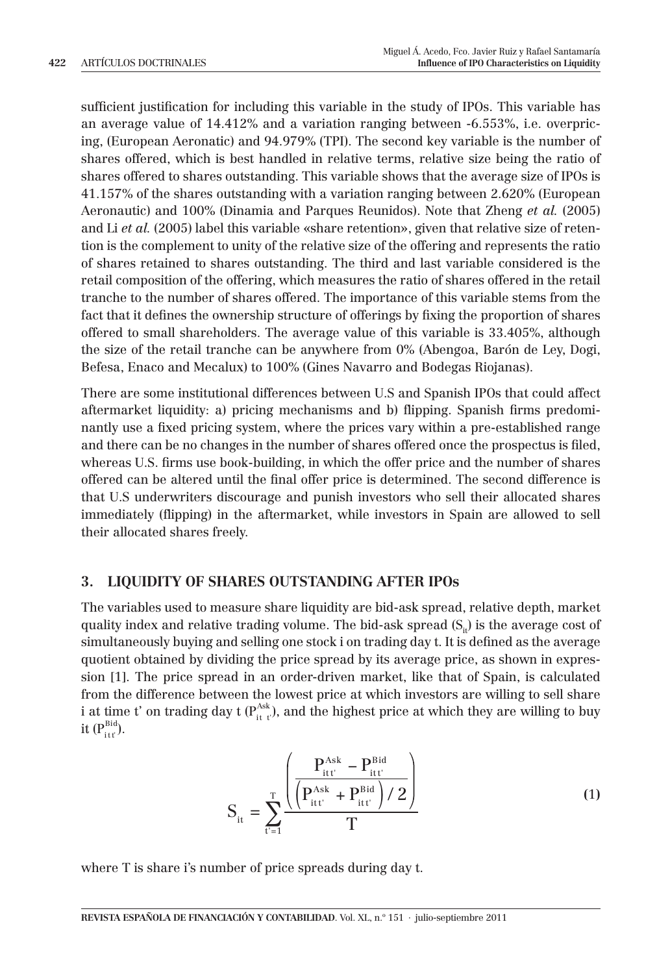sufficient justification for including this variable in the study of IPOs. This variable has an average value of 14.412% and a variation ranging between -6.553%, i.e. overpricing, (European Aeronatic) and 94.979% (TPI). The second key variable is the number of shares offered, which is best handled in relative terms, relative size being the ratio of shares offered to shares outstanding. This variable shows that the average size of IPOs is 41.157% of the shares outstanding with a variation ranging between 2.620% (European Aeronautic) and 100% (Dinamia and Parques Reunidos). Note that Zheng *et al.* (2005) and Li *et al.* (2005) label this variable «share retention», given that relative size of retention is the complement to unity of the relative size of the offering and represents the ratio of shares retained to shares outstanding. The third and last variable considered is the retail composition of the offering, which measures the ratio of shares offered in the retail tranche to the number of shares offered. The importance of this variable stems from the fact that it defines the ownership structure of offerings by fixing the proportion of shares offered to small shareholders. The average value of this variable is 33.405%, although the size of the retail tranche can be anywhere from 0% (Abengoa, Barón de Ley, Dogi, Befesa, Enaco and Mecalux) to 100% (Gines Navarro and Bodegas Riojanas).

There are some institutional differences between U.S and Spanish IPOs that could affect aftermarket liquidity: a) pricing mechanisms and b) flipping. Spanish firms predominantly use a fixed pricing system, where the prices vary within a pre-established range and there can be no changes in the number of shares offered once the prospectus is filed, whereas U.S. firms use book-building, in which the offer price and the number of shares offered can be altered until the final offer price is determined. The second difference is that U.S underwriters discourage and punish investors who sell their allocated shares immediately (flipping) in the aftermarket, while investors in Spain are allowed to sell their allocated shares freely.

## **3. LIQUIDITY OF SHARES OUTSTANDING AFTER IPOs**

The variables used to measure share liquidity are bid-ask spread, relative depth, market quality index and relative trading volume. The bid-ask spread  $(S_n)$  is the average cost of simultaneously buying and selling one stock i on trading day t. It is defined as the average quotient obtained by dividing the price spread by its average price, as shown in expression [1]. The price spread in an order-driven market, like that of Spain, is calculated from the difference between the lowest price at which investors are willing to sell share i at time t' on trading day t  $(P_{it}^{Ask})$ , and the highest price at which they are willing to buy it  $(P_{\text{itt}}^{\text{Bid}})$ .

$$
S_{it} = \sum_{t'=1}^{T} \frac{\left(\frac{P_{itt'}^{Ask} - P_{itt'}^{Bid}}{\left(P_{itt'}^{Ask} + P_{itt'}^{Bid}\right)/2}\right)}{T}
$$
(1)

where T is share i's number of price spreads during day t.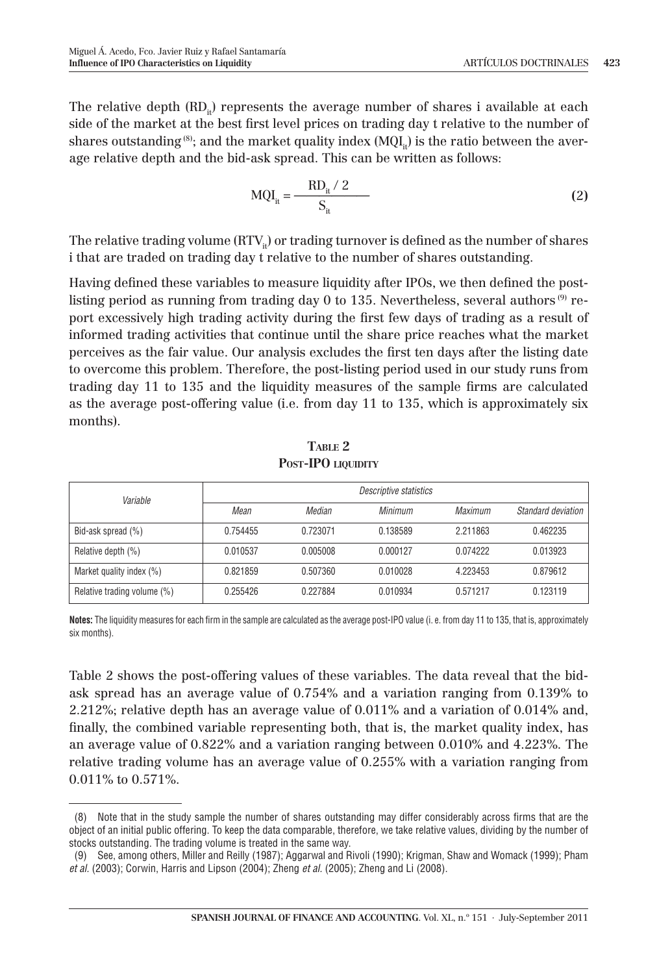The relative depth (RD<sub>is</sub>) represents the average number of shares i available at each side of the market at the best first level prices on trading day t relative to the number of shares outstanding  $(8)$ ; and the market quality index (MQI<sub>i</sub>) is the ratio between the average relative depth and the bid-ask spread. This can be written as follows:

$$
MQI_{it} = \frac{RD_{it}/2}{S_{it}} \tag{2}
$$

The relative trading volume  $(RTV<sub>i</sub>)$  or trading turnover is defined as the number of shares i that are traded on trading day t relative to the number of shares outstanding.

Having defined these variables to measure liquidity after IPOs, we then defined the postlisting period as running from trading day 0 to 135. Nevertheless, several authors  $(9)$  report excessively high trading activity during the first few days of trading as a result of informed trading activities that continue until the share price reaches what the market perceives as the fair value. Our analysis excludes the first ten days after the listing date to overcome this problem. Therefore, the post-listing period used in our study runs from trading day 11 to 135 and the liquidity measures of the sample firms are calculated as the average post-offering value (i.e. from day 11 to 135, which is approximately six months).

| Variable                    |          |          | Descriptive statistics |                |                    |
|-----------------------------|----------|----------|------------------------|----------------|--------------------|
|                             | Mean     | Median   | Minimum                | <b>Maximum</b> | Standard deviation |
| Bid-ask spread (%)          | 0.754455 | 0.723071 | 0.138589               | 2.211863       | 0.462235           |
| Relative depth (%)          | 0.010537 | 0.005008 | 0.000127               | 0.074222       | 0.013923           |
| Market quality index (%)    | 0.821859 | 0.507360 | 0.010028               | 4.223453       | 0.879612           |
| Relative trading volume (%) | 0.255426 | 0.227884 | 0.010934               | 0.571217       | 0.123119           |

**TABLE 2 POST-IPO LIQUIDITY**

Notes: The liquidity measures for each firm in the sample are calculated as the average post-IPO value (i. e. from day 11 to 135, that is, approximately six months).

Table 2 shows the post-offering values of these variables. The data reveal that the bidask spread has an average value of 0.754% and a variation ranging from 0.139% to 2.212%; relative depth has an average value of 0.011% and a variation of 0.014% and, finally, the combined variable representing both, that is, the market quality index, has an average value of 0.822% and a variation ranging between 0.010% and 4.223%. The relative trading volume has an average value of 0.255% with a variation ranging from 0.011% to 0.571%.

<sup>(8)</sup> Note that in the study sample the number of shares outstanding may differ considerably across firms that are the object of an initial public offering. To keep the data comparable, therefore, we take relative values, dividing by the number of stocks outstanding. The trading volume is treated in the same way.

 <sup>(9)</sup> See, among others, Miller and Reilly (1987); Aggarwal and Rivoli (1990); Krigman, Shaw and Womack (1999); Pham et al. (2003); Corwin, Harris and Lipson (2004); Zheng et al. (2005); Zheng and Li (2008).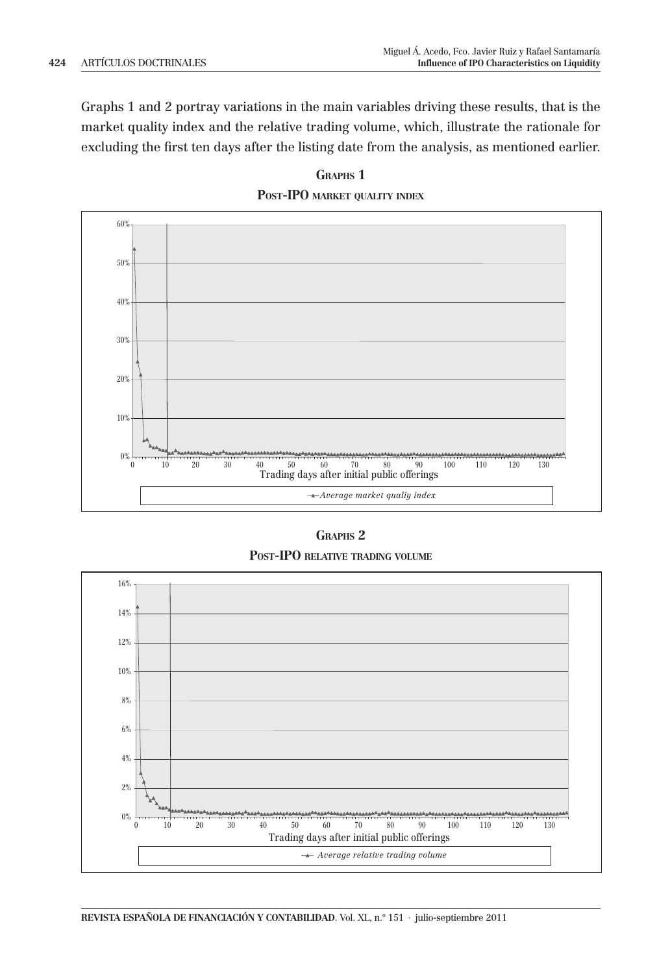Graphs 1 and 2 portray variations in the main variables driving these results, that is the market quality index and the relative trading volume, which, illustrate the rationale for excluding the first ten days after the listing date from the analysis, as mentioned earlier.



**GRAPHS 1 POST-IPO MARKET QUALITY INDEX**

**GRAPHS 2 POST-IPO RELATIVE TRADING VOLUME**

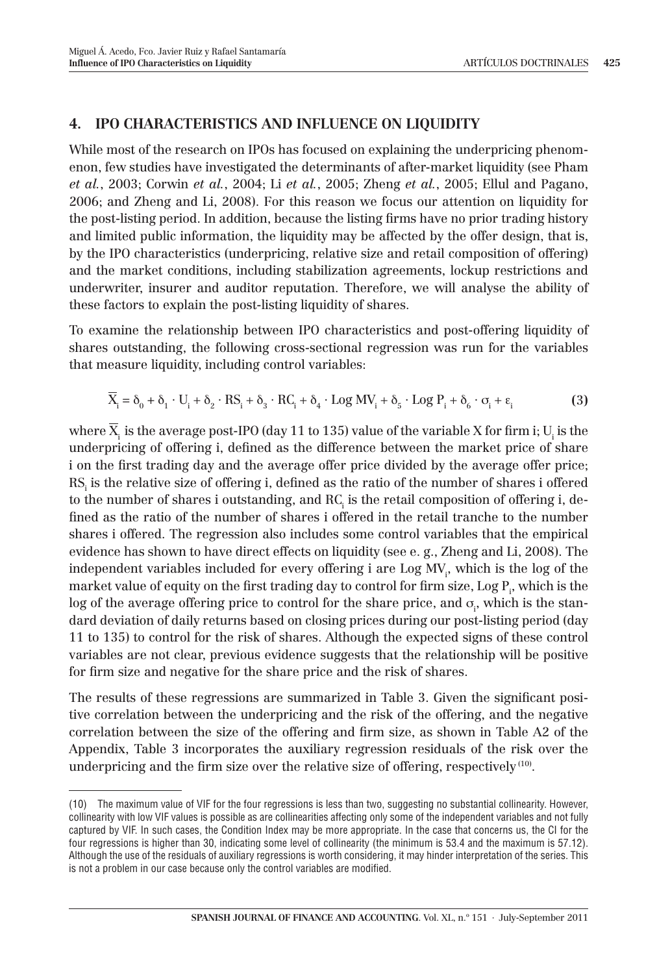## **4. IPO CHARACTERISTICS AND INFLUENCE ON LIQUIDITY**

While most of the research on IPOs has focused on explaining the underpricing phenomenon, few studies have investigated the determinants of after-market liquidity (see Pham *et al.*, 2003; Corwin *et al.*, 2004; Li *et al.*, 2005; Zheng *et al.*, 2005; Ellul and Pagano, 2006; and Zheng and Li, 2008). For this reason we focus our attention on liquidity for the post-listing period. In addition, because the listing firms have no prior trading history and limited public information, the liquidity may be affected by the offer design, that is, by the IPO characteristics (underpricing, relative size and retail composition of offering) and the market conditions, including stabilization agreements, lockup restrictions and underwriter, insurer and auditor reputation. Therefore, we will analyse the ability of these factors to explain the post-listing liquidity of shares.

To examine the relationship between IPO characteristics and post-offering liquidity of shares outstanding, the following cross-sectional regression was run for the variables that measure liquidity, including control variables:

$$
\overline{X}_i = \delta_0 + \delta_1 \cdot U_i + \delta_2 \cdot RS_i + \delta_3 \cdot RC_i + \delta_4 \cdot Log MV_i + \delta_5 \cdot Log P_i + \delta_6 \cdot \sigma_i + \epsilon_i
$$
 (3)

where  $\mathrm{X_{i}}$  is the average post-IPO (day 11 to 135) value of the variable X for firm i;  $\mathrm{U_{i}}$  is the underpricing of offering i, defined as the difference between the market price of share i on the first trading day and the average offer price divided by the average offer price;  $\mathrm{RS}_\mathrm{i}$  is the relative size of offering i, defined as the ratio of the number of shares i offered to the number of shares i outstanding, and  $\mathtt{RC}_{\text{i}}$  is the retail composition of offering i, defined as the ratio of the number of shares i offered in the retail tranche to the number shares i offered. The regression also includes some control variables that the empirical evidence has shown to have direct effects on liquidity (see e. g., Zheng and Li, 2008). The independent variables included for every offering  $i$  are Log MV $_{i}$ , which is the log of the market value of equity on the first trading day to control for firm size, Log  $P_i$ , which is the  $\log$  of the average offering price to control for the share price, and  $\sigma_i$ , which is the standard deviation of daily returns based on closing prices during our post-listing period (day 11 to 135) to control for the risk of shares. Although the expected signs of these control variables are not clear, previous evidence suggests that the relationship will be positive for firm size and negative for the share price and the risk of shares.

The results of these regressions are summarized in Table 3. Given the significant positive correlation between the underpricing and the risk of the offering, and the negative correlation between the size of the offering and firm size, as shown in Table A2 of the Appendix, Table 3 incorporates the auxiliary regression residuals of the risk over the underpricing and the firm size over the relative size of offering, respectively  $(10)$ .

<sup>(10)</sup> The maximum value of VIF for the four regressions is less than two, suggesting no substantial collinearity. However, collinearity with low VIF values is possible as are collinearities affecting only some of the independent variables and not fully captured by VIF. In such cases, the Condition Index may be more appropriate. In the case that concerns us, the CI for the four regressions is higher than 30, indicating some level of collinearity (the minimum is 53.4 and the maximum is 57.12). Although the use of the residuals of auxiliary regressions is worth considering, it may hinder interpretation of the series. This is not a problem in our case because only the control variables are modified.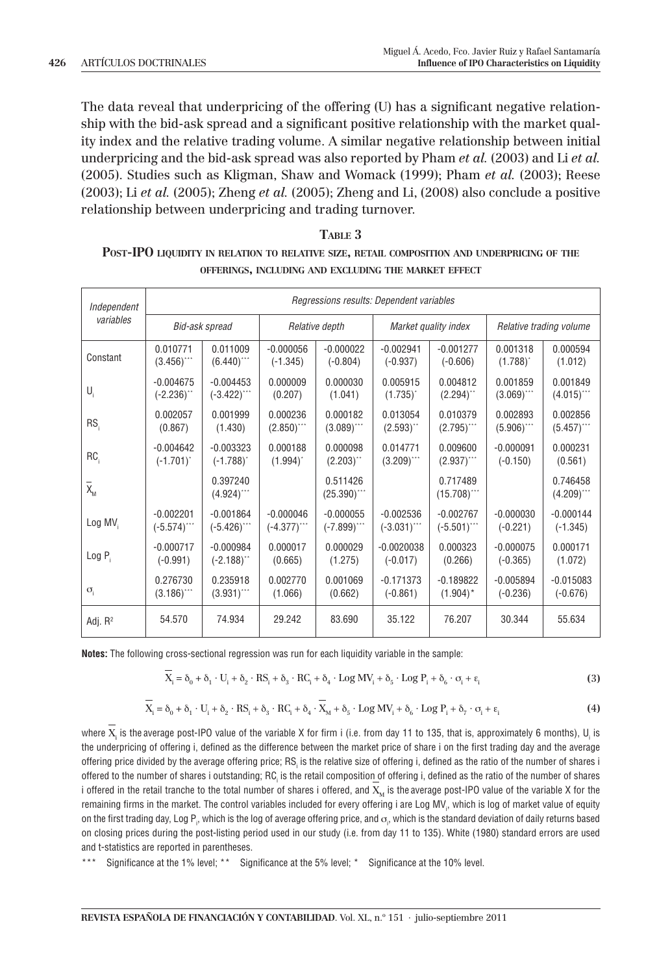The data reveal that underpricing of the offering  $(U)$  has a significant negative relationship with the bid-ask spread and a significant positive relationship with the market quality index and the relative trading volume. A similar negative relationship between initial underpricing and the bid-ask spread was also reported by Pham *et al.* (2003) and Li *et al.* (2005). Studies such as Kligman, Shaw and Womack (1999); Pham *et al.* (2003); Reese (2003); Li *et al.* (2005); Zheng *et al.* (2005); Zheng and Li, (2008) also conclude a positive relationship between underpricing and trading turnover.

| OFFERINGS, INCLUDING AND EXCLUDING THE MARKET EFFECT |                                          |                                      |                        |                             |                |                           |                        |                            |  |
|------------------------------------------------------|------------------------------------------|--------------------------------------|------------------------|-----------------------------|----------------|---------------------------|------------------------|----------------------------|--|
| Independent                                          | Regressions results: Dependent variables |                                      |                        |                             |                |                           |                        |                            |  |
| variables                                            |                                          | Bid-ask spread                       |                        | Relative depth              |                | Market quality index      |                        | Relative trading volume    |  |
| Constant                                             | 0.010771                                 | 0.011009                             | $-0.000056$            | $-0.000022$                 | $-0.002941$    | $-0.001277$               | 0.001318               | 0.000594                   |  |
|                                                      | $(3.456)^{}$                             | $(6.440)^{}$                         | $(-1.345)$             | $(-0.804)$                  | $(-0.937)$     | $(-0.606)$                | $(1.788)$ <sup>*</sup> | (1.012)                    |  |
| U,                                                   | $-0.004675$                              | $-0.004453$                          | 0.000009               | 0.000030                    | 0.005915       | 0.004812                  | 0.001859               | 0.001849                   |  |
|                                                      | $(-2.236)^{4}$                           | $(-3.422)^{}$                        | (0.207)                | (1.041)                     | $(1.735)^{4}$  | $(2.294)^{4}$             | $(3.069)^{}$           | $(4.015)$ <sup>***</sup>   |  |
| RS.                                                  | 0.002057                                 | 0.001999                             | 0.000236               | 0.000182                    | 0.013054       | 0.010379                  | 0.002893               | 0.002856                   |  |
|                                                      | (0.867)                                  | (1.430)                              | $(2.850)^{}$           | $(3.089)^{}$                | $(2.593)^{4}$  | $(2.795)^{}$              | $(5.906)^{}$           | $(5.457)^{}$               |  |
| RG <sub>i</sub>                                      | $-0.004642$                              | $-0.003323$                          | 0.000188               | 0.000098                    | 0.014771       | 0.009600                  | $-0.000091$            | 0.000231                   |  |
|                                                      | $(-1.701)^{4}$                           | $(-1.788)$ <sup>*</sup>              | $(1.994)$ <sup>*</sup> | $(2.203)^{11}$              | $(3.209)^{11}$ | $(2.937)^{}$              | $(-0.150)$             | (0.561)                    |  |
| $X_{M}$                                              |                                          | 0.397240<br>$(4.924)$ <sup>***</sup> |                        | 0.511426<br>$(25.390)^{11}$ |                | 0.717489<br>$(15.708)^{}$ |                        | 0.746458<br>$(4.209)^{11}$ |  |
| Log MV,                                              | $-0.002201$                              | $-0.001864$                          | $-0.000046$            | $-0.000055$                 | $-0.002536$    | $-0.002767$               | $-0.000030$            | $-0.000144$                |  |
|                                                      | $(-5.574)^{}$                            | $(-5.426)^{}$                        | $(-4.377)^{}$          | $(-7.899)^{}$               | $(-3.031)^{}$  | $(-5.501)^{}$             | $(-0.221)$             | $(-1.345)$                 |  |
| $Log P_i$                                            | $-0.000717$                              | $-0.000984$                          | 0.000017               | 0.000029                    | $-0.0020038$   | 0.000323                  | $-0.000075$            | 0.000171                   |  |
|                                                      | $(-0.991)$                               | $(-2.188)^{11}$                      | (0.665)                | (1.275)                     | $(-0.017)$     | (0.266)                   | $(-0.365)$             | (1.072)                    |  |
| $\sigma_i$                                           | 0.276730                                 | 0.235918                             | 0.002770               | 0.001069                    | $-0.171373$    | $-0.189822$               | $-0.005894$            | $-0.015083$                |  |
|                                                      | $(3.186)^{}$                             | $(3.931)$ <sup>***</sup>             | (1.066)                | (0.662)                     | $(-0.861)$     | $(1.904)^*$               | $(-0.236)$             | $(-0.676)$                 |  |
| Adj. $R^2$                                           | 54.570                                   | 74.934                               | 29.242                 | 83.690                      | 35.122         | 76.207                    | 30.344                 | 55.634                     |  |

**TABLE 3 POST-IPO LIQUIDITY IN RELATION TO RELATIVE SIZE, RETAIL COMPOSITION AND UNDERPRICING OF THE**

**Notes:** The following cross-sectional regression was run for each liquidity variable in the sample:

$$
\overline{X}_i = \delta_0 + \delta_1 \cdot U_i + \delta_2 \cdot RS_i + \delta_3 \cdot RC_i + \delta_4 \cdot Log MV_i + \delta_5 \cdot Log P_i + \delta_6 \cdot \sigma_i + \epsilon_i
$$
\n(3)

$$
\overline{X}_i = \delta_0 + \delta_1 \cdot U_i + \delta_2 \cdot RS_i + \delta_3 \cdot RC_i + \delta_4 \cdot \overline{X}_M + \delta_5 \cdot Log\,MV_i + \delta_6 \cdot Log\,P_i + \delta_7 \cdot \sigma_i + \epsilon_i
$$
\n(4)

where  $\mathrm{X}_{\mathrm{i}}$  is the average post-IPO value of the variable X for firm i (i.e. from day 11 to 135, that is, approximately 6 months), U<sub>i</sub> is the underpricing of offering i, defined as the difference between the market price of share i on the first trading day and the average offering price divided by the average offering price; RS<sub>i</sub> is the relative size of offering i, defined as the ratio of the number of shares i offered to the number of shares i outstanding; RC $_{\rm i}$  is the retail composition of offering i, defined as the ratio of the number of shares i offered in the retail tranche to the total number of shares i offered, and  $X_M$  is the average post-IPO value of the variable X for the remaining firms in the market. The control variables included for every offering i are Log MV<sub>i</sub>, which is log of market value of equity on the first trading day, Log P<sub>i</sub>, which is the log of average offering price, and  $\sigma_{\rm p}$  which is the standard deviation of daily returns based on closing prices during the post-listing period used in our study (i.e. from day 11 to 135). White (1980) standard errors are used and t-statistics are reported in parentheses.

\*\*\* Significance at the 1% level; \*\* Significance at the 5% level; \* Significance at the 10% level.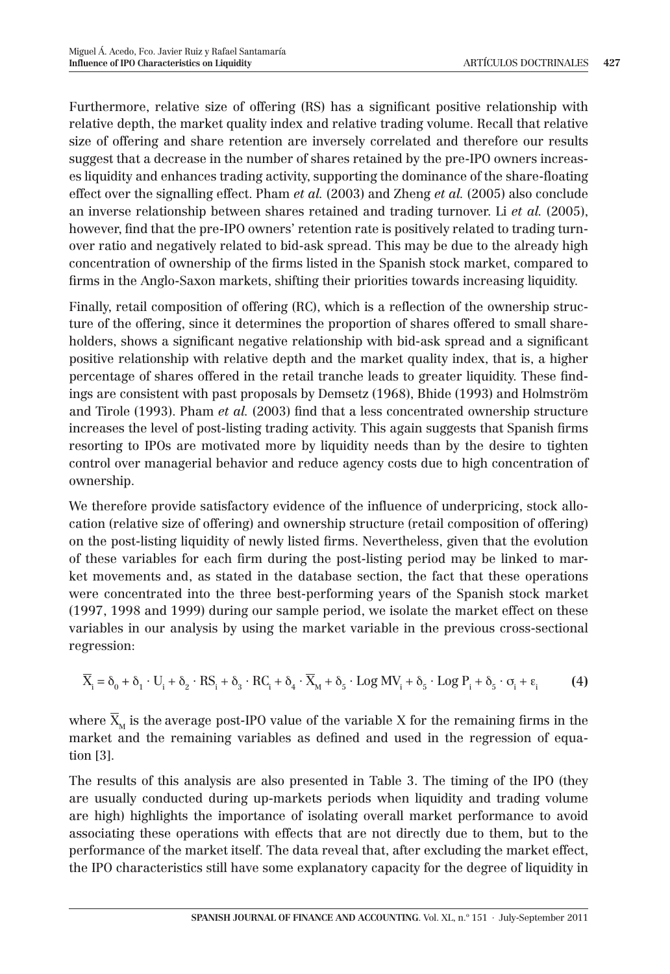Furthermore, relative size of offering (RS) has a significant positive relationship with relative depth, the market quality index and relative trading volume. Recall that relative size of offering and share retention are inversely correlated and therefore our results suggest that a decrease in the number of shares retained by the pre-IPO owners increases liquidity and enhances trading activity, supporting the dominance of the share-floating effect over the signalling effect. Pham *et al.* (2003) and Zheng *et al.* (2005) also conclude an inverse relationship between shares retained and trading turnover. Li *et al.* (2005), however, find that the pre-IPO owners' retention rate is positively related to trading turnover ratio and negatively related to bid-ask spread. This may be due to the already high concentration of ownership of the firms listed in the Spanish stock market, compared to firms in the Anglo-Saxon markets, shifting their priorities towards increasing liquidity.

Finally, retail composition of offering (RC), which is a reflection of the ownership structure of the offering, since it determines the proportion of shares offered to small shareholders, shows a significant negative relationship with bid-ask spread and a significant positive relationship with relative depth and the market quality index, that is, a higher percentage of shares offered in the retail tranche leads to greater liquidity. These findings are consistent with past proposals by Demsetz (1968), Bhide (1993) and Holmström and Tirole (1993). Pham *et al.* (2003) find that a less concentrated ownership structure increases the level of post-listing trading activity. This again suggests that Spanish firms resorting to IPOs are motivated more by liquidity needs than by the desire to tighten control over managerial behavior and reduce agency costs due to high concentration of ownership.

We therefore provide satisfactory evidence of the influence of underpricing, stock allocation (relative size of offering) and ownership structure (retail composition of offering) on the post-listing liquidity of newly listed firms. Nevertheless, given that the evolution of these variables for each firm during the post-listing period may be linked to market movements and, as stated in the database section, the fact that these operations were concentrated into the three best-performing years of the Spanish stock market (1997, 1998 and 1999) during our sample period, we isolate the market effect on these variables in our analysis by using the market variable in the previous cross-sectional regression:

$$
\overline{X}_i = \delta_0 + \delta_1 \cdot U_i + \delta_2 \cdot RS_i + \delta_3 \cdot RC_i + \delta_4 \cdot \overline{X}_M + \delta_5 \cdot Log MV_i + \delta_5 \cdot Log P_i + \delta_5 \cdot \sigma_i + \epsilon_i
$$
 (4)

where  $\overline{X}_{M}$  is the average post-IPO value of the variable X for the remaining firms in the market and the remaining variables as defined and used in the regression of equation [3].

The results of this analysis are also presented in Table 3. The timing of the IPO (they are usually conducted during up-markets periods when liquidity and trading volume are high) highlights the importance of isolating overall market performance to avoid associating these operations with effects that are not directly due to them, but to the performance of the market itself. The data reveal that, after excluding the market effect, the IPO characteristics still have some explanatory capacity for the degree of liquidity in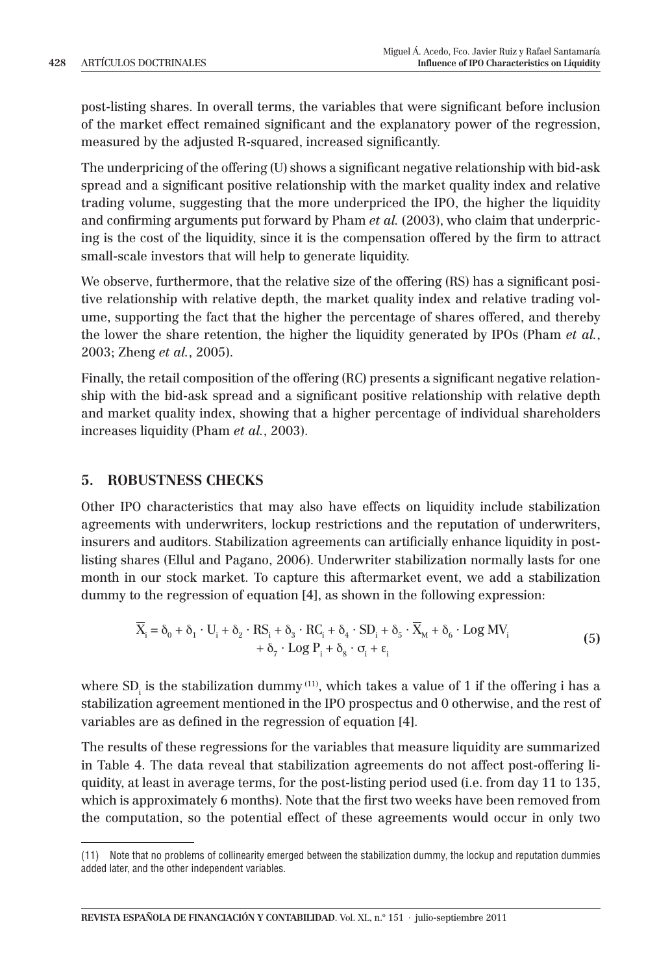post-listing shares. In overall terms, the variables that were significant before inclusion of the market effect remained significant and the explanatory power of the regression, measured by the adjusted R-squared, increased significantly.

The underpricing of the offering  $(U)$  shows a significant negative relationship with bid-ask spread and a significant positive relationship with the market quality index and relative trading volume, suggesting that the more underpriced the IPO, the higher the liquidity and confirming arguments put forward by Pham *et al.* (2003), who claim that underpricing is the cost of the liquidity, since it is the compensation offered by the firm to attract small-scale investors that will help to generate liquidity.

We observe, furthermore, that the relative size of the offering (RS) has a significant positive relationship with relative depth, the market quality index and relative trading volume, supporting the fact that the higher the percentage of shares offered, and thereby the lower the share retention, the higher the liquidity generated by IPOs (Pham *et al.*, 2003; Zheng *et al.*, 2005).

Finally, the retail composition of the offering (RC) presents a significant negative relationship with the bid-ask spread and a significant positive relationship with relative depth and market quality index, showing that a higher percentage of individual shareholders increases liquidity (Pham *et al.*, 2003).

## **5. ROBUSTNESS CHECKS**

Other IPO characteristics that may also have effects on liquidity include stabilization agreements with underwriters, lockup restrictions and the reputation of underwriters, insurers and auditors. Stabilization agreements can artifi cially enhance liquidity in postlisting shares (Ellul and Pagano, 2006). Underwriter stabilization normally lasts for one month in our stock market. To capture this aftermarket event, we add a stabilization dummy to the regression of equation [4], as shown in the following expression:

$$
\overline{X}_{i} = \delta_{0} + \delta_{1} \cdot U_{i} + \delta_{2} \cdot RS_{i} + \delta_{3} \cdot RC_{i} + \delta_{4} \cdot SD_{i} + \delta_{5} \cdot \overline{X}_{M} + \delta_{6} \cdot Log MV_{i} + \delta_{7} \cdot Log P_{i} + \delta_{8} \cdot \sigma_{i} + \varepsilon_{i}
$$
\n(5)

where  $SD<sub>i</sub>$  is the stabilization dummy  $<sup>(11)</sup>$ , which takes a value of 1 if the offering i has a</sup> stabilization agreement mentioned in the IPO prospectus and 0 otherwise, and the rest of variables are as defined in the regression of equation [4].

The results of these regressions for the variables that measure liquidity are summarized in Table 4. The data reveal that stabilization agreements do not affect post-offering liquidity, at least in average terms, for the post-listing period used (i.e. from day 11 to 135, which is approximately 6 months). Note that the first two weeks have been removed from the computation, so the potential effect of these agreements would occur in only two

<sup>(11)</sup> Note that no problems of collinearity emerged between the stabilization dummy, the lockup and reputation dummies added later, and the other independent variables.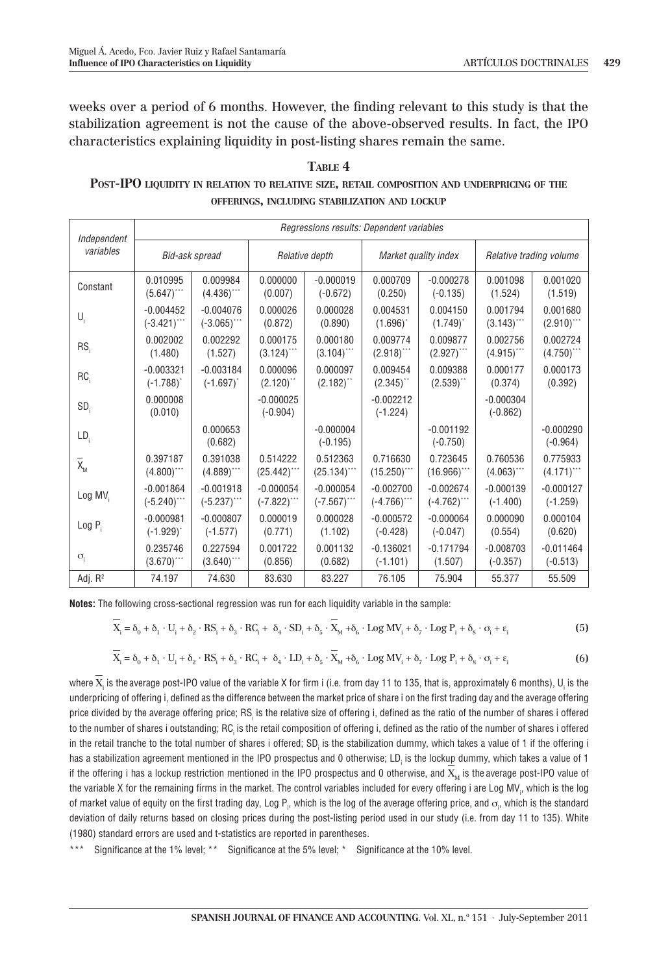weeks over a period of 6 months. However, the finding relevant to this study is that the stabilization agreement is not the cause of the above-observed results. In fact, the IPO characteristics explaining liquidity in post-listing shares remain the same.

#### **TABLE 4**

#### **POST-IPO LIQUIDITY IN RELATION TO RELATIVE SIZE, RETAIL COMPOSITION AND UNDERPRICING OF THE OFFERINGS, INCLUDING STABILIZATION AND LOCKUP**

| Independent     |                                                          |                           |                           | Regressions results: Dependent variables |                           |                           |                           |                           |
|-----------------|----------------------------------------------------------|---------------------------|---------------------------|------------------------------------------|---------------------------|---------------------------|---------------------------|---------------------------|
| variables       | Bid-ask spread<br>Relative depth<br>Market quality index |                           |                           | Relative trading volume                  |                           |                           |                           |                           |
| Constant        | 0.010995                                                 | 0.009984                  | 0.000000                  | $-0.000019$                              | 0.000709                  | $-0.000278$               | 0.001098                  | 0.001020                  |
|                 | $(5.647)$ <sup>***</sup>                                 | $(4.436)^{}$              | (0.007)                   | $(-0.672)$                               | (0.250)                   | $(-0.135)$                | (1.524)                   | (1.519)                   |
| U,              | $-0.004452$                                              | $-0.004076$               | 0.000026                  | 0.000028                                 | 0.004531                  | 0.004150                  | 0.001794                  | 0.001680                  |
|                 | $(-3.421)^{}$                                            | $(-3.065)$ <sup>***</sup> | (0.872)                   | (0.890)                                  | $(1.696)$ <sup>*</sup>    | $(1.749)$ <sup>*</sup>    | $(3.143)^{}$              | $(2.910)^{}$              |
| RS,             | 0.002002                                                 | 0.002292                  | 0.000175                  | 0.000180                                 | 0.009774                  | 0.009877                  | 0.002756                  | 0.002724                  |
|                 | (1.480)                                                  | (1.527)                   | $(3.124)$ <sup>***</sup>  | $(3.104)^{}$                             | $(2.918)^{11}$            | $(2.927)^{}$              | $(4.915)^{}$              | $(4.750)^{}$              |
| RG <sub>i</sub> | $-0.003321$                                              | $-0.003184$               | 0.000096                  | 0.000097                                 | 0.009454                  | 0.009388                  | 0.000177                  | 0.000173                  |
|                 | $(-1.788)$ <sup>*</sup>                                  | $(-1.697)$                | $(2.120)$ <sup>"</sup>    | $(2.182)$ <sup>"</sup>                   | $(2.345)^{4}$             | $(2.539)^{11}$            | (0.374)                   | (0.392)                   |
| SD <sub>i</sub> | 0.000008<br>(0.010)                                      |                           | $-0.000025$<br>$(-0.904)$ |                                          | $-0.002212$<br>$(-1.224)$ |                           | $-0.000304$<br>$(-0.862)$ |                           |
| LD <sub>i</sub> |                                                          | 0.000653<br>(0.682)       |                           | $-0.000004$<br>$(-0.195)$                |                           | $-0.001192$<br>$(-0.750)$ |                           | $-0.000290$<br>$(-0.964)$ |
| $X_{M}$         | 0.397187                                                 | 0.391038                  | 0.514222                  | 0.512363                                 | 0.716630                  | 0.723645                  | 0.760536                  | 0.775933                  |
|                 | $(4.800)^{11}$                                           | $(4.889)^{11}$            | $(25.442)^{}$             | $(25.134)^{11}$                          | $(15.250)^{11}$           | $(16.966)^{}$             | $(4.063)^{11}$            | $(4.171)^{11}$            |
| Log MV,         | $-0.001864$                                              | $-0.001918$               | $-0.000054$               | $-0.000054$                              | $-0.002700$               | $-0.002674$               | $-0.000139$               | $-0.000127$               |
|                 | $(-5.240)^{}$                                            | $(-5.237)^{}$             | $(-7.822)^{}$             | $(-7.567)^{}$                            | $(-4.766)^{}$             | $(-4.762)^{}$             | $(-1.400)$                | $(-1.259)$                |
| $Log P_i$       | $-0.000981$                                              | $-0.000807$               | 0.000019                  | 0.000028                                 | $-0.000572$               | $-0.000064$               | 0.000090                  | 0.000104                  |
|                 | $(-1.929)$ <sup>*</sup>                                  | $(-1.577)$                | (0.771)                   | (1.102)                                  | $(-0.428)$                | $(-0.047)$                | (0.554)                   | (0.620)                   |
| $\sigma_{i}$    | 0.235746                                                 | 0.227594                  | 0.001722                  | 0.001132                                 | $-0.136021$               | $-0.171794$               | $-0.008703$               | $-0.011464$               |
|                 | $(3.670)^{}$                                             | $(3.640)^{}$              | (0.856)                   | (0.682)                                  | $(-1.101)$                | (1.507)                   | $(-0.357)$                | $(-0.513)$                |
| Adj. $R^2$      | 74.197                                                   | 74.630                    | 83.630                    | 83.227                                   | 76.105                    | 75.904                    | 55.377                    | 55.509                    |

**Notes:** The following cross-sectional regression was run for each liquidity variable in the sample:

$$
\overline{X}_i = \delta_0 + \delta_1 \cdot U_i + \delta_2 \cdot RS_i + \delta_3 \cdot RC_i + \delta_4 \cdot SD_i + \delta_5 \cdot \overline{X}_M + \delta_6 \cdot Log MV_i + \delta_7 \cdot Log P_i + \delta_8 \cdot \sigma_i + \epsilon_i
$$
\n
$$
\tag{5}
$$

$$
\overline{X}_i = \delta_0 + \delta_1 \cdot U_i + \delta_2 \cdot RS_i + \delta_3 \cdot RC_i + \delta_4 \cdot LD_i + \delta_5 \cdot \overline{X}_M + \delta_6 \cdot Log MV_i + \delta_7 \cdot Log P_i + \delta_8 \cdot \sigma_i + \epsilon_i
$$
\n
$$
\tag{6}
$$

where  $\boldsymbol{\mathrm{X_i}}$  is the average post-IPO value of the variable X for firm i (i.e. from day 11 to 135, that is, approximately 6 months), U<sub>i</sub> is the underpricing of offering i, defined as the difference between the market price of share i on the first trading day and the average offering price divided by the average offering price; RS<sub>i</sub> is the relative size of offering i, defined as the ratio of the number of shares i offered to the number of shares i outstanding; RC<sub>i</sub> is the retail composition of offering i, defined as the ratio of the number of shares i offered in the retail tranche to the total number of shares i offered; SD<sub>i</sub> is the stabilization dummy, which takes a value of 1 if the offering i has a stabilization agreement mentioned in the IPO prospectus and 0 otherwise; LD<sub>i</sub> is the locku<u>p</u> dummy, which takes a value of 1 if the offering i has a lockup restriction mentioned in the IPO prospectus and 0 otherwise, and  $X_{i}$ , is the average post-IPO value of the variable X for the remaining firms in the market. The control variables included for every offering i are Log MV $_{\rm i}$ , which is the log of market value of equity on the first trading day, Log P<sub>i</sub>, which is the log of the average offering price, and  $\sigma_{\rm i}$ , which is the standard deviation of daily returns based on closing prices during the post-listing period used in our study (i.e. from day 11 to 135). White (1980) standard errors are used and t-statistics are reported in parentheses.

\*\*\* Significance at the 1% level; \*\* Significance at the 5% level; \* Significance at the 10% level.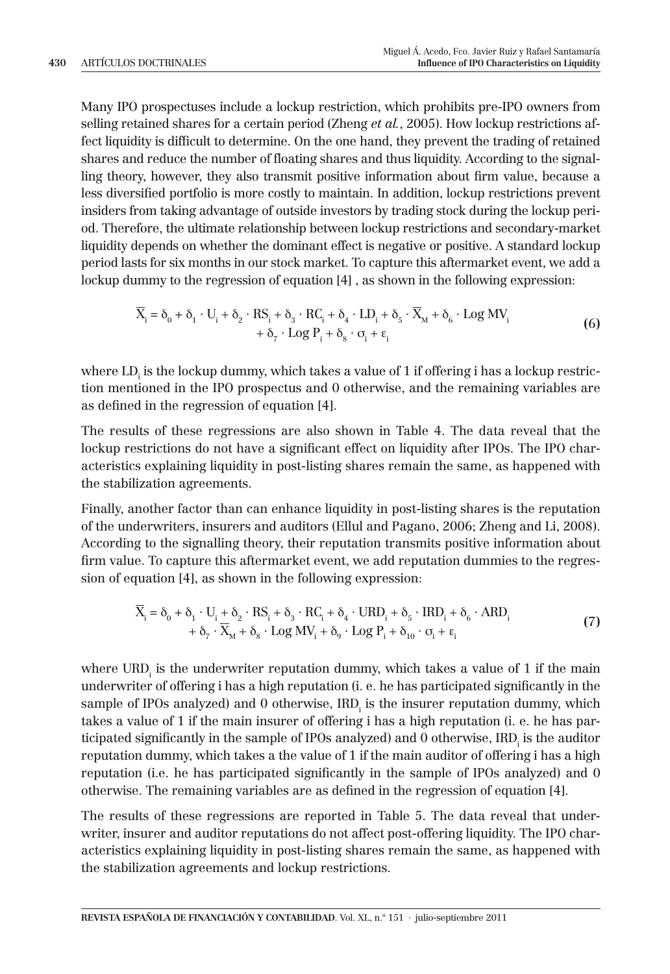Many IPO prospectuses include a lockup restriction, which prohibits pre-IPO owners from selling retained shares for a certain period (Zheng *et al.*, 2005). How lockup restrictions affect liquidity is difficult to determine. On the one hand, they prevent the trading of retained shares and reduce the number of floating shares and thus liquidity. According to the signalling theory, however, they also transmit positive information about firm value, because a less diversified portfolio is more costly to maintain. In addition, lockup restrictions prevent insiders from taking advantage of outside investors by trading stock during the lockup period. Therefore, the ultimate relationship between lockup restrictions and secondary-market liquidity depends on whether the dominant effect is negative or positive. A standard lockup period lasts for six months in our stock market. To capture this aftermarket event, we add a lockup dummy to the regression of equation [4] , as shown in the following expression:

$$
\overline{X}_{i} = \delta_{0} + \delta_{1} \cdot U_{i} + \delta_{2} \cdot RS_{i} + \delta_{3} \cdot RC_{i} + \delta_{4} \cdot LD_{i} + \delta_{5} \cdot \overline{X}_{M} + \delta_{6} \cdot Log MV_{i} + \delta_{7} \cdot Log P_{i} + \delta_{8} \cdot \sigma_{i} + \varepsilon_{i}
$$
\n(6)

where LD<sub>;</sub> is the lockup dummy, which takes a value of 1 if offering i has a lockup restriction mentioned in the IPO prospectus and 0 otherwise, and the remaining variables are as defined in the regression of equation [4].

The results of these regressions are also shown in Table 4. The data reveal that the lockup restrictions do not have a significant effect on liquidity after IPOs. The IPO characteristics explaining liquidity in post-listing shares remain the same, as happened with the stabilization agreements.

Finally, another factor than can enhance liquidity in post-listing shares is the reputation of the underwriters, insurers and auditors (Ellul and Pagano, 2006; Zheng and Li, 2008). According to the signalling theory, their reputation transmits positive information about firm value. To capture this aftermarket event, we add reputation dummies to the regression of equation [4], as shown in the following expression:

$$
\overline{X}_{i} = \delta_{0} + \delta_{1} \cdot U_{i} + \delta_{2} \cdot RS_{i} + \delta_{3} \cdot RC_{i} + \delta_{4} \cdot URD_{i} + \delta_{5} \cdot IRD_{i} + \delta_{6} \cdot ARD_{i} + \delta_{7} \cdot \overline{X}_{M} + \delta_{8} \cdot Log MV_{i} + \delta_{9} \cdot Log P_{i} + \delta_{10} \cdot \sigma_{i} + \epsilon_{i}
$$
\n(7)

where  $\text{URD}_i$  is the underwriter reputation dummy, which takes a value of 1 if the main underwriter of offering i has a high reputation (i. e. he has participated significantly in the sample of IPOs analyzed) and 0 otherwise,  $\text{IRD}_i$  is the insurer reputation dummy, which takes a value of 1 if the main insurer of offering i has a high reputation (i. e. he has participated significantly in the sample of IPOs analyzed) and 0 otherwise,  $\text{IRD}_\text{i}$  is the auditor reputation dummy, which takes a the value of 1 if the main auditor of offering i has a high reputation (i.e. he has participated significantly in the sample of IPOs analyzed) and 0 otherwise. The remaining variables are as defined in the regression of equation [4].

The results of these regressions are reported in Table 5. The data reveal that underwriter, insurer and auditor reputations do not affect post-offering liquidity. The IPO characteristics explaining liquidity in post-listing shares remain the same, as happened with the stabilization agreements and lockup restrictions.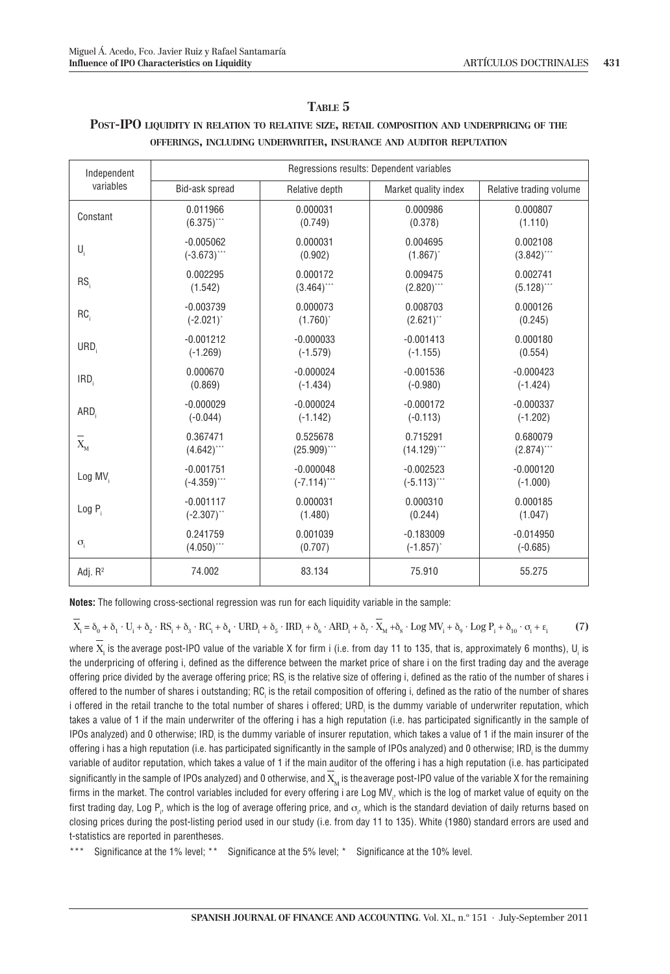#### **TABLE 5**

#### **POST-IPO LIQUIDITY IN RELATION TO RELATIVE SIZE, RETAIL COMPOSITION AND UNDERPRICING OF THE OFFERINGS, INCLUDING UNDERWRITER, INSURANCE AND AUDITOR REPUTATION**

| Independent        | Regressions results: Dependent variables |                          |                          |                          |  |  |  |  |
|--------------------|------------------------------------------|--------------------------|--------------------------|--------------------------|--|--|--|--|
| variables          | Bid-ask spread                           | Relative depth           | Market quality index     | Relative trading volume  |  |  |  |  |
| Constant           | 0.011966                                 | 0.000031                 | 0.000986                 | 0.000807                 |  |  |  |  |
|                    | $(6.375)$ <sup>***</sup>                 | (0.749)                  | (0.378)                  | (1.110)                  |  |  |  |  |
| $U_i$              | $-0.005062$                              | 0.000031                 | 0.004695                 | 0.002108                 |  |  |  |  |
|                    | $(-3.673)^{}$                            | (0.902)                  | $(1.867)$ <sup>*</sup>   | $(3.842)^{}$             |  |  |  |  |
| RS.                | 0.002295                                 | 0.000172                 | 0.009475                 | 0.002741                 |  |  |  |  |
|                    | (1.542)                                  | $(3.464)$ <sup>***</sup> | $(2.820)$ <sup>***</sup> | $(5.128)$ <sup>***</sup> |  |  |  |  |
| RG <sub>i</sub>    | $-0.003739$                              | 0.000073                 | 0.008703                 | 0.000126                 |  |  |  |  |
|                    | $(-2.021)^{4}$                           | $(1.760)$ <sup>*</sup>   | (2.621)                  | (0.245)                  |  |  |  |  |
| URD,               | $-0.001212$                              | $-0.000033$              | $-0.001413$              | 0.000180                 |  |  |  |  |
|                    | $(-1.269)$                               | $(-1.579)$               | $(-1.155)$               | (0.554)                  |  |  |  |  |
| IRD,               | 0.000670                                 | $-0.000024$              | $-0.001536$              | $-0.000423$              |  |  |  |  |
|                    | (0.869)                                  | $(-1.434)$               | $(-0.980)$               | $(-1.424)$               |  |  |  |  |
| ARD,               | $-0.000029$                              | $-0.000024$              | $-0.000172$              | $-0.000337$              |  |  |  |  |
|                    | $(-0.044)$                               | $(-1.142)$               | $(-0.113)$               | $(-1.202)$               |  |  |  |  |
| $\overline{X}_{M}$ | 0.367471                                 | 0.525678                 | 0.715291                 | 0.680079                 |  |  |  |  |
|                    | $(4.642)^{}$                             | $(25.909)^{}$            | $(14.129)^{}$            | $(2.874)$ <sup>***</sup> |  |  |  |  |
| Log MV.            | $-0.001751$                              | $-0.000048$              | $-0.002523$              | $-0.000120$              |  |  |  |  |
|                    | $(-4.359)^{11}$                          | $(-7.114)^{11}$          | $(-5.113)^{11}$          | $(-1.000)$               |  |  |  |  |
| Log P              | $-0.001117$                              | 0.000031                 | 0.000310                 | 0.000185                 |  |  |  |  |
|                    | $(-2.307)^{4}$                           | (1.480)                  | (0.244)                  | (1.047)                  |  |  |  |  |
| $\sigma_i$         | 0.241759                                 | 0.001039                 | $-0.183009$              | $-0.014950$              |  |  |  |  |
|                    | $(4.050)$ <sup>***</sup>                 | (0.707)                  | $(-1.857)$               | $(-0.685)$               |  |  |  |  |
| Adj. $R^2$         | 74.002                                   | 83.134                   | 75.910                   | 55.275                   |  |  |  |  |

**Notes:** The following cross-sectional regression was run for each liquidity variable in the sample:

 $X_1 = \delta_0 + \delta_1 \cdot U_1 + \delta_2 \cdot RS_1 + \delta_3 \cdot RC_1 + \delta_4 \cdot URD_1 + \delta_5 \cdot IRD_1 + \delta_6 \cdot ARD_1 + \delta_7 \cdot X_M + \delta_8 \cdot Log MV_1 + \delta_9 \cdot Log P_1 + \delta_{10} \cdot \sigma_1 + \epsilon_1$  (7)

where  $\mathrm{X_{i}}$  is the average post-IPO value of the variable X for firm i (i.e. from day 11 to 135, that is, approximately 6 months), U<sub>i</sub> is the underpricing of offering i, defined as the difference between the market price of share i on the first trading day and the average offering price divided by the average offering price; RS<sub>i</sub> is the relative size of offering i, defined as the ratio of the number of shares i offered to the number of shares i outstanding; RC<sub>i</sub> is the retail composition of offering i, defined as the ratio of the number of shares i offered in the retail tranche to the total number of shares i offered; URD<sub>i</sub> is the dummy variable of underwriter reputation, which takes a value of 1 if the main underwriter of the offering i has a high reputation (i.e. has participated significantly in the sample of IPOs analyzed) and 0 otherwise; IRD<sub>i</sub> is the dummy variable of insurer reputation, which takes a value of 1 if the main insurer of the offering i has a high reputation (i.e. has participated significantly in the sample of IPOs analyzed) and 0 otherwise; IRD<sub>i</sub> is the dummy variable of auditor reputation, which takes a value of 1 if the main auditor of the offering i has a high reputation (i.e. has participated significantly in the sample of IPOs analyzed) and 0 otherwise, and  $X_M$  is the average post-IPO value of the variable X for the remaining firms in the market. The control variables included for every offering i are Log MV $_{\rm p}$  which is the log of market value of equity on the first trading day, Log P<sub>i</sub>, which is the log of average offering price, and  $\sigma_{\!}$ , which is the standard deviation of daily returns based on closing prices during the post-listing period used in our study (i.e. from day 11 to 135). White (1980) standard errors are used and t-statistics are reported in parentheses.

\*\*\* Significance at the 1% level; \*\* Significance at the 5% level; \* Significance at the 10% level.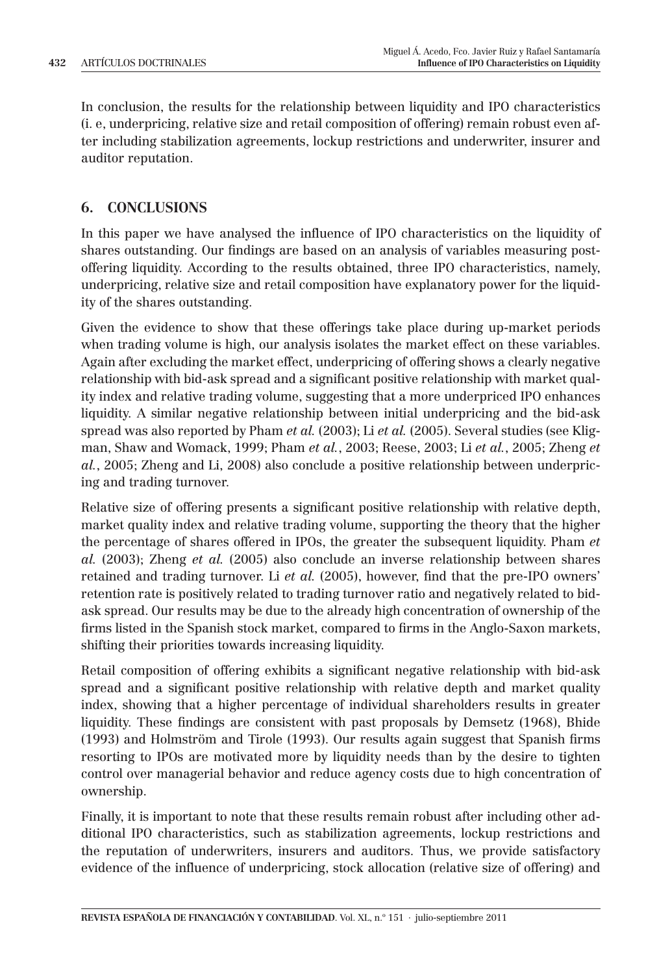In conclusion, the results for the relationship between liquidity and IPO characteristics (i. e, underpricing, relative size and retail composition of offering) remain robust even after including stabilization agreements, lockup restrictions and underwriter, insurer and auditor reputation.

## **6. CONCLUSIONS**

In this paper we have analysed the influence of IPO characteristics on the liquidity of shares outstanding. Our findings are based on an analysis of variables measuring postoffering liquidity. According to the results obtained, three IPO characteristics, namely, underpricing, relative size and retail composition have explanatory power for the liquidity of the shares outstanding.

Given the evidence to show that these offerings take place during up-market periods when trading volume is high, our analysis isolates the market effect on these variables. Again after excluding the market effect, underpricing of offering shows a clearly negative relationship with bid-ask spread and a significant positive relationship with market quality index and relative trading volume, suggesting that a more underpriced IPO enhances liquidity. A similar negative relationship between initial underpricing and the bid-ask spread was also reported by Pham *et al.* (2003); Li *et al.* (2005). Several studies (see Kligman, Shaw and Womack, 1999; Pham *et al.*, 2003; Reese, 2003; Li *et al.*, 2005; Zheng *et al.*, 2005; Zheng and Li, 2008) also conclude a positive relationship between underpricing and trading turnover.

Relative size of offering presents a significant positive relationship with relative depth, market quality index and relative trading volume, supporting the theory that the higher the percentage of shares offered in IPOs, the greater the subsequent liquidity. Pham *et al.* (2003); Zheng *et al.* (2005) also conclude an inverse relationship between shares retained and trading turnover. Li *et al.* (2005), however, find that the pre-IPO owners' retention rate is positively related to trading turnover ratio and negatively related to bidask spread. Our results may be due to the already high concentration of ownership of the firms listed in the Spanish stock market, compared to firms in the Anglo-Saxon markets, shifting their priorities towards increasing liquidity.

Retail composition of offering exhibits a significant negative relationship with bid-ask spread and a significant positive relationship with relative depth and market quality index, showing that a higher percentage of individual shareholders results in greater liquidity. These findings are consistent with past proposals by Demsetz (1968), Bhide (1993) and Holmström and Tirole (1993). Our results again suggest that Spanish firms resorting to IPOs are motivated more by liquidity needs than by the desire to tighten control over managerial behavior and reduce agency costs due to high concentration of ownership.

Finally, it is important to note that these results remain robust after including other additional IPO characteristics, such as stabilization agreements, lockup restrictions and the reputation of underwriters, insurers and auditors. Thus, we provide satisfactory evidence of the influence of underpricing, stock allocation (relative size of offering) and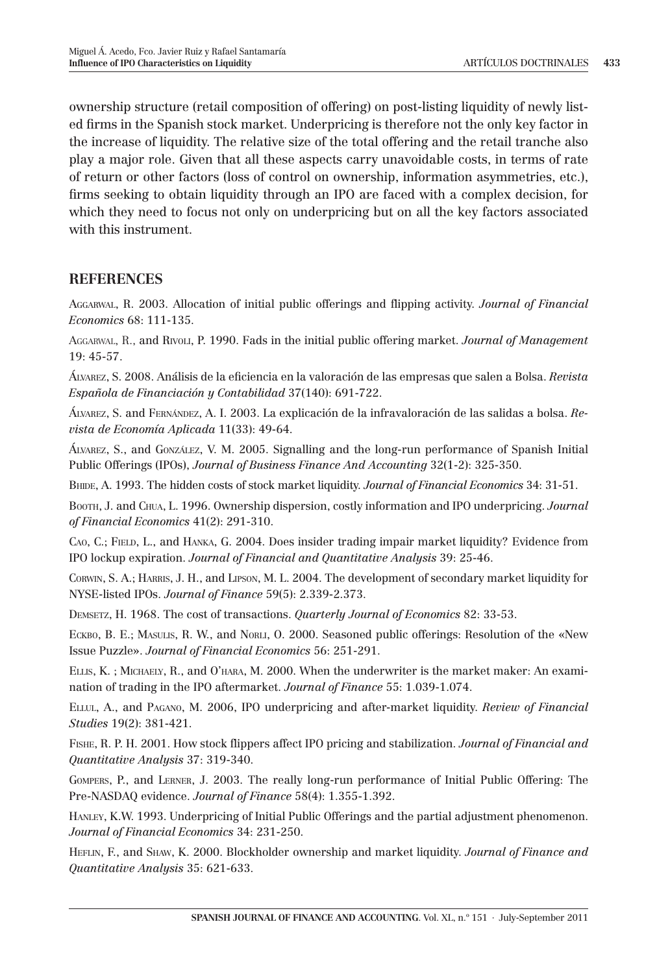ownership structure (retail composition of offering) on post-listing liquidity of newly listed firms in the Spanish stock market. Underpricing is therefore not the only key factor in the increase of liquidity. The relative size of the total offering and the retail tranche also play a major role. Given that all these aspects carry unavoidable costs, in terms of rate of return or other factors (loss of control on ownership, information asymmetries, etc.), firms seeking to obtain liquidity through an IPO are faced with a complex decision, for which they need to focus not only on underpricing but on all the key factors associated with this instrument.

## **REFERENCES**

AGGARWAL, R. 2003. Allocation of initial public offerings and flipping activity. *Journal of Financial Economics* 68: 111-135.

AGGARWAL, R., and RIVOLI, P. 1990. Fads in the initial public offering market. *Journal of Management* 19: 45-57.

ÁLVAREZ, S. 2008. Análisis de la efi ciencia en la valoración de las empresas que salen a Bolsa. *Revista Española de Financiación y Contabilidad* 37(140): 691-722.

ÁLVAREZ, S. and FERNÁNDEZ, A. I. 2003. La explicación de la infravaloración de las salidas a bolsa. *Revista de Economía Aplicada* 11(33): 49-64.

ÁLVAREZ, S., and GONZÁLEZ, V. M. 2005. Signalling and the long-run performance of Spanish Initial Public Offerings (IPOs), *Journal of Business Finance And Accounting* 32(1-2): 325-350.

BHIDE, A. 1993. The hidden costs of stock market liquidity. *Journal of Financial Economics* 34: 31-51.

BOOTH, J. and CHUA, L. 1996. Ownership dispersion, costly information and IPO underpricing. *Journal of Financial Economics* 41(2): 291-310.

CAO, C.; FIELD, L., and HANKA, G. 2004. Does insider trading impair market liquidity? Evidence from IPO lockup expiration. *Journal of Financial and Quantitative Analysis* 39: 25-46.

CORWIN, S. A.; HARRIS, J. H., and LIPSON, M. L. 2004. The development of secondary market liquidity for NYSE-listed IPOs. *Journal of Finance* 59(5): 2.339-2.373.

DEMSETZ, H. 1968. The cost of transactions. *Quarterly Journal of Economics* 82: 33-53.

ECKBO, B. E.; MASULIS, R. W., and NORLI, O. 2000. Seasoned public offerings: Resolution of the «New Issue Puzzle». *Journal of Financial Economics* 56: 251-291.

ELLIS, K. ; MICHAELY, R., and O'HARA, M. 2000. When the underwriter is the market maker: An examination of trading in the IPO aftermarket. *Journal of Finance* 55: 1.039-1.074.

ELLUL, A., and PAGANO, M. 2006, IPO underpricing and after-market liquidity. *Review of Financial Studies* 19(2): 381-421.

FISHE, R. P. H. 2001. How stock flippers affect IPO pricing and stabilization. *Journal of Financial and Quantitative Analysis* 37: 319-340.

GOMPERS, P., and LERNER, J. 2003. The really long-run performance of Initial Public Offering: The Pre-NASDAQ evidence. *Journal of Finance* 58(4): 1.355-1.392.

HANLEY, K.W. 1993. Underpricing of Initial Public Offerings and the partial adjustment phenomenon. *Journal of Financial Economics* 34: 231-250.

HEFLIN, F., and SHAW, K. 2000. Blockholder ownership and market liquidity. *Journal of Finance and Quantitative Analysis* 35: 621-633.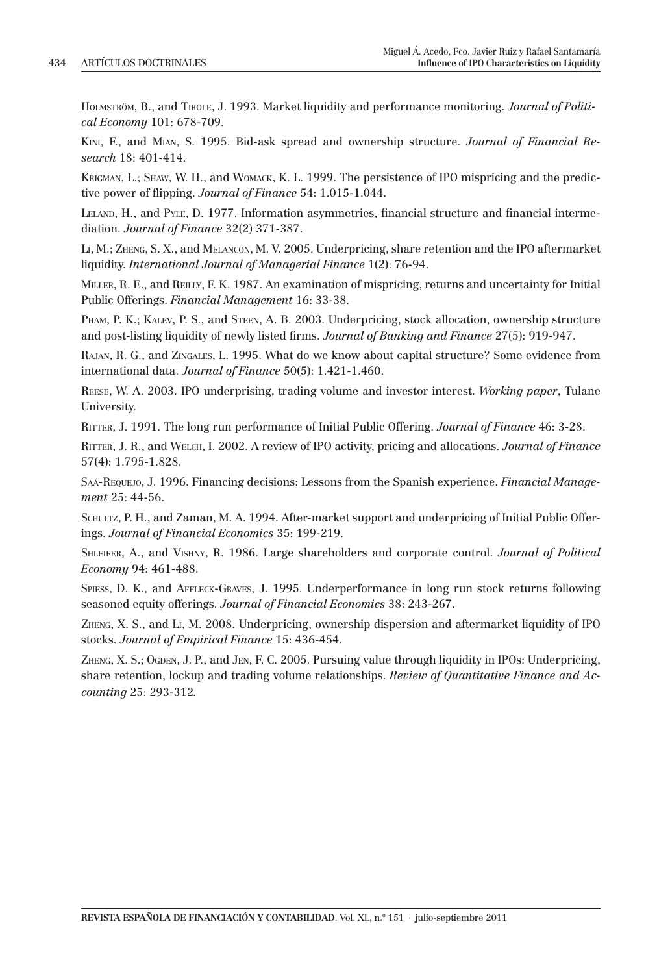HOLMSTRÖM, B., and TIROLE, J. 1993. Market liquidity and performance monitoring. *Journal of Political Economy* 101: 678-709.

KINI, F., and MIAN, S. 1995. Bid-ask spread and ownership structure. *Journal of Financial Research* 18: 401-414.

KRIGMAN, L.; SHAW, W. H., and WOMACK, K. L. 1999. The persistence of IPO mispricing and the predictive power of flipping. *Journal of Finance* 54: 1.015-1.044.

LELAND, H., and PYLE, D. 1977. Information asymmetries, financial structure and financial intermediation. *Journal of Finance* 32(2) 371-387.

LI, M.; ZHENG, S. X., and MELANCON, M. V. 2005. Underpricing, share retention and the IPO aftermarket liquidity. *International Journal of Managerial Finance* 1(2): 76-94.

MILLER, R. E., and REILLY, F. K. 1987. An examination of mispricing, returns and uncertainty for Initial Public Offerings. *Financial Management* 16: 33-38.

PHAM, P. K.; KALEV, P. S., and STEEN, A. B. 2003. Underpricing, stock allocation, ownership structure and post-listing liquidity of newly listed firms. *Journal of Banking and Finance* 27(5): 919-947.

RAJAN, R. G., and ZINGALES, L. 1995. What do we know about capital structure? Some evidence from international data. *Journal of Finance* 50(5): 1.421-1.460.

REESE, W. A. 2003. IPO underprising, trading volume and investor interest. *Working paper*, Tulane University.

RITTER, J. 1991. The long run performance of Initial Public Offering. *Journal of Finance* 46: 3-28.

RITTER, J. R., and WELCH, I. 2002. A review of IPO activity, pricing and allocations. *Journal of Finance* 57(4): 1.795-1.828.

SAÁ-REQUEJO, J. 1996. Financing decisions: Lessons from the Spanish experience. *Financial Management* 25: 44-56.

SCHULTZ, P. H., and Zaman, M. A. 1994. After-market support and underpricing of Initial Public Offerings. *Journal of Financial Economics* 35: 199-219.

SHLEIFER, A., and VISHNY, R. 1986. Large shareholders and corporate control. *Journal of Political Economy* 94: 461-488.

SPIESS, D. K., and AFFLECK-GRAVES, J. 1995. Underperformance in long run stock returns following seasoned equity offerings. *Journal of Financial Economics* 38: 243-267.

ZHENG, X. S., and LI, M. 2008. Underpricing, ownership dispersion and aftermarket liquidity of IPO stocks. *Journal of Empirical Finance* 15: 436-454.

ZHENG, X. S.; OGDEN, J. P., and JEN, F. C. 2005. Pursuing value through liquidity in IPOs: Underpricing, share retention, lockup and trading volume relationships. *Review of Quantitative Finance and Accounting* 25: 293-312*.*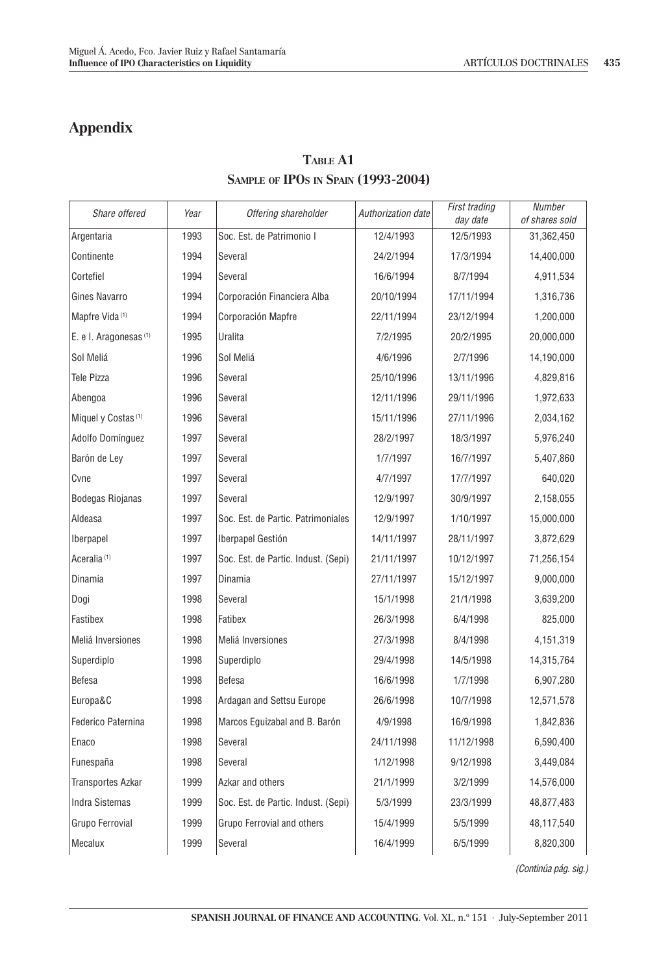## **Appendix**

## **TABLE A1 SAMPLE OF IPOS IN SPAIN (1993-2004)**

| Share offered                     | Year | Offering shareholder                | Authorization date | <b>First trading</b><br>day date | Number<br>of shares sold |
|-----------------------------------|------|-------------------------------------|--------------------|----------------------------------|--------------------------|
| Argentaria                        | 1993 | Soc. Est. de Patrimonio I           | 12/4/1993          | 12/5/1993                        | 31,362,450               |
| Continente                        | 1994 | Several                             | 24/2/1994          | 17/3/1994                        | 14,400,000               |
| Cortefiel                         | 1994 | Several                             | 16/6/1994          | 8/7/1994                         | 4,911,534                |
| Gines Navarro                     | 1994 | Corporación Financiera Alba         | 20/10/1994         | 17/11/1994                       | 1,316,736                |
| Mapfre Vida <sup>(1)</sup>        | 1994 | Corporación Mapfre                  | 22/11/1994         | 23/12/1994                       | 1,200,000                |
| E. e I. Aragonesas <sup>(1)</sup> | 1995 | Uralita                             | 7/2/1995           | 20/2/1995                        | 20,000,000               |
| Sol Meliá                         | 1996 | Sol Meliá                           | 4/6/1996           | 2/7/1996                         | 14,190,000               |
| <b>Tele Pizza</b>                 | 1996 | Several                             | 25/10/1996         | 13/11/1996                       | 4,829,816                |
| Abengoa                           | 1996 | Several                             | 12/11/1996         | 29/11/1996                       | 1,972,633                |
| Miquel y Costas <sup>(1)</sup>    | 1996 | Several                             | 15/11/1996         | 27/11/1996                       | 2,034,162                |
| Adolfo Domínguez                  | 1997 | Several                             | 28/2/1997          | 18/3/1997                        | 5,976,240                |
| Barón de Ley                      | 1997 | Several                             | 1/7/1997           | 16/7/1997                        | 5,407,860                |
| Cvne                              | 1997 | Several                             | 4/7/1997           | 17/7/1997                        | 640,020                  |
| <b>Bodegas Riojanas</b>           | 1997 | Several                             | 12/9/1997          | 30/9/1997                        | 2,158,055                |
| Aldeasa                           | 1997 | Soc. Est. de Partic. Patrimoniales  | 12/9/1997          | 1/10/1997                        | 15,000,000               |
| Iberpapel                         | 1997 | Iberpapel Gestión                   | 14/11/1997         | 28/11/1997                       | 3,872,629                |
| Aceralia <sup>(1)</sup>           | 1997 | Soc. Est. de Partic. Indust. (Sepi) | 21/11/1997         | 10/12/1997                       | 71,256,154               |
| Dinamia                           | 1997 | Dinamia                             | 27/11/1997         | 15/12/1997                       | 9,000,000                |
| Dogi                              | 1998 | Several                             | 15/1/1998          | 21/1/1998                        | 3,639,200                |
| Fastibex                          | 1998 | Fatibex                             | 26/3/1998          | 6/4/1998                         | 825,000                  |
| Meliá Inversiones                 | 1998 | Meliá Inversiones                   | 27/3/1998          | 8/4/1998                         | 4,151,319                |
| Superdiplo                        | 1998 | Superdiplo                          | 29/4/1998          | 14/5/1998                        | 14,315,764               |
| <b>Befesa</b>                     | 1998 | Befesa                              | 16/6/1998          | 1/7/1998                         | 6,907,280                |
| Europa&C                          | 1998 | Ardagan and Settsu Europe           | 26/6/1998          | 10/7/1998                        | 12,571,578               |
| Federico Paternina                | 1998 | Marcos Equizabal and B. Barón       | 4/9/1998           | 16/9/1998                        | 1,842,836                |
| Enaco                             | 1998 | Several                             | 24/11/1998         | 11/12/1998                       | 6,590,400                |
| Funespaña                         | 1998 | Several                             | 1/12/1998          | 9/12/1998                        | 3,449,084                |
| <b>Transportes Azkar</b>          | 1999 | Azkar and others                    | 21/1/1999          | 3/2/1999                         | 14,576,000               |
| <b>Indra Sistemas</b>             | 1999 | Soc. Est. de Partic. Indust. (Sepi) | 5/3/1999           | 23/3/1999                        | 48,877,483               |
| Grupo Ferrovial                   | 1999 | Grupo Ferrovial and others          | 15/4/1999          | 5/5/1999                         | 48,117,540               |
| Mecalux                           | 1999 | Several                             | 16/4/1999          | 6/5/1999                         | 8,820,300                |

(Continúa pág. sig.)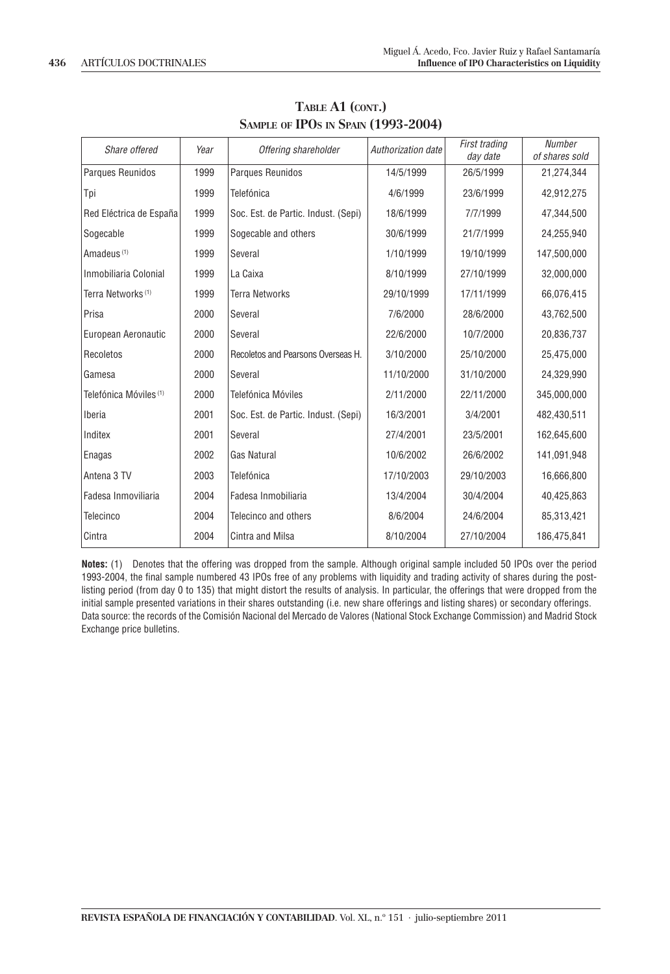| Share offered                     | Year | Offering shareholder                | Authorization date | First trading<br>day date | <b>Number</b><br>of shares sold |
|-----------------------------------|------|-------------------------------------|--------------------|---------------------------|---------------------------------|
| Parques Reunidos                  | 1999 | Parques Reunidos                    | 14/5/1999          | 26/5/1999                 | 21,274,344                      |
| Tpi                               | 1999 | Telefónica                          | 4/6/1999           | 23/6/1999                 | 42,912,275                      |
| Red Eléctrica de España           | 1999 | Soc. Est. de Partic. Indust. (Sepi) | 18/6/1999          | 7/7/1999                  | 47,344,500                      |
| Sogecable                         | 1999 | Sogecable and others                | 30/6/1999          | 21/7/1999                 | 24,255,940                      |
| Amadeus <sup>(1)</sup>            | 1999 | Several                             | 1/10/1999          | 19/10/1999                | 147,500,000                     |
| Inmobiliaria Colonial             | 1999 | La Caixa                            | 8/10/1999          | 27/10/1999                | 32,000,000                      |
| Terra Networks <sup>(1)</sup>     | 1999 | <b>Terra Networks</b>               | 29/10/1999         | 17/11/1999                | 66,076,415                      |
| Prisa                             | 2000 | Several                             | 7/6/2000           | 28/6/2000                 | 43,762,500                      |
| European Aeronautic               | 2000 | Several                             | 22/6/2000          | 10/7/2000                 | 20.836.737                      |
| Recoletos                         | 2000 | Recoletos and Pearsons Overseas H.  | 3/10/2000          | 25/10/2000                | 25,475,000                      |
| Gamesa                            | 2000 | Several                             | 11/10/2000         | 31/10/2000                | 24,329,990                      |
| Telefónica Móviles <sup>(1)</sup> | 2000 | Telefónica Móviles                  | 2/11/2000          | 22/11/2000                | 345,000,000                     |
| Iberia                            | 2001 | Soc. Est. de Partic. Indust. (Sepi) | 16/3/2001          | 3/4/2001                  | 482,430,511                     |
| Inditex                           | 2001 | Several                             | 27/4/2001          | 23/5/2001                 | 162,645,600                     |
| Enagas                            | 2002 | <b>Gas Natural</b>                  | 10/6/2002          | 26/6/2002                 | 141,091,948                     |
| Antena 3 TV                       | 2003 | Telefónica                          | 17/10/2003         | 29/10/2003                | 16,666,800                      |
| Fadesa Inmoviliaria               | 2004 | Fadesa Inmobiliaria                 | 13/4/2004          | 30/4/2004                 | 40,425,863                      |
| Telecinco                         | 2004 | Telecinco and others                | 8/6/2004           | 24/6/2004                 | 85,313,421                      |
| Cintra                            | 2004 | Cintra and Milsa                    | 8/10/2004          | 27/10/2004                | 186,475,841                     |

**TABLE A1 (CONT.) SAMPLE OF IPOS IN SPAIN (1993-2004)**

**Notes:** (1) Denotes that the offering was dropped from the sample. Although original sample included 50 IPOs over the period 1993-2004, the final sample numbered 43 IPOs free of any problems with liquidity and trading activity of shares during the postlisting period (from day 0 to 135) that might distort the results of analysis. In particular, the offerings that were dropped from the initial sample presented variations in their shares outstanding (i.e. new share offerings and listing shares) or secondary offerings. Data source: the records of the Comisión Nacional del Mercado de Valores (National Stock Exchange Commission) and Madrid Stock Exchange price bulletins.